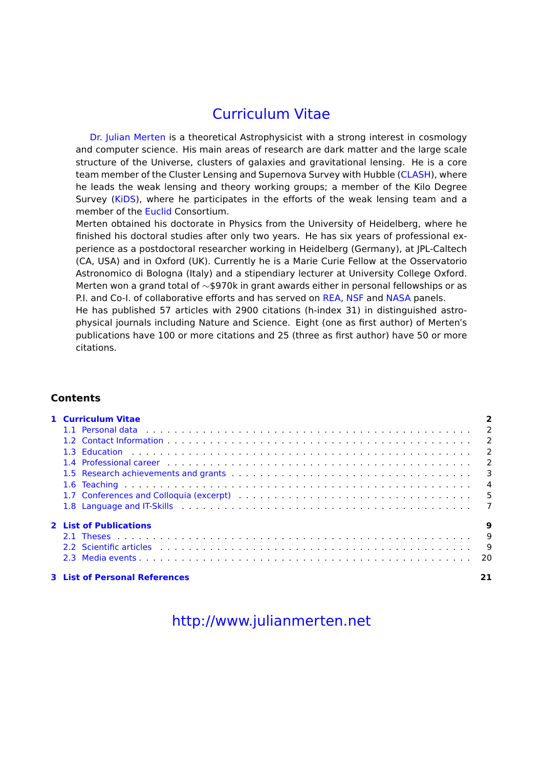# Curriculum Vitae

[Dr. Julian Merten](mailto:julian.merten@physics.ox.ac.uk) is a theoretical Astrophysicist with a strong interest in cosmology and computer science. His main areas of research are dark matter and the large scale structure of the Universe, clusters of galaxies and gravitational lensing. He is a core team member of the Cluster Lensing and Supernova Survey with Hubble [\(CLASH\)](http://www.stsci.edu/~postman/CLASH/Home.html), where he leads the weak lensing and theory working groups; a member of the Kilo Degree Survey [\(KiDS\)](http://kids.strw.leidenuniv.nl/), where he participates in the efforts of the weak lensing team and a member of the [Euclid](http://sci.esa.int/euclid/) Consortium.

Merten obtained his doctorate in Physics from the University of Heidelberg, where he finished his doctoral studies after only two years. He has six years of professional experience as a postdoctoral researcher working in Heidelberg (Germany), at JPL-Caltech (CA, USA) and in Oxford (UK). Currently he is a Marie Curie Fellow at the Osservatorio Astronomico di Bologna (Italy) and a stipendiary lecturer at University College Oxford. Merten won a grand total of ∼\$970k in grant awards either in personal fellowships or as P.I. and Co-I. of collaborative efforts and has served on [REA,](https://ec.europa.eu/info/departments/research-executive-agency_en) [NSF](http://www.nsf.gov) and [NASA](http://www.nasa.gov) panels.

He has published 57 articles with 2900 citations (h-index 31) in distinguished astrophysical journals including Nature and Science. Eight (one as first author) of Merten's publications have 100 or more citations and 25 (three as first author) have 50 or more citations.

## **Contents**

| 1 Curriculum Vitae                                                                                              |   |
|-----------------------------------------------------------------------------------------------------------------|---|
|                                                                                                                 |   |
|                                                                                                                 |   |
|                                                                                                                 |   |
|                                                                                                                 |   |
|                                                                                                                 |   |
|                                                                                                                 |   |
|                                                                                                                 |   |
|                                                                                                                 |   |
| <b>2</b> List of Publications                                                                                   | 9 |
|                                                                                                                 |   |
| 2.2 Scientific articles (Allergence Lewis Allergence Lewis Allergence Lewis Allergence Lewis Allergence Lewis A |   |
|                                                                                                                 |   |
| <b>3 List of Personal References</b>                                                                            |   |

# <http://www.julianmerten.net>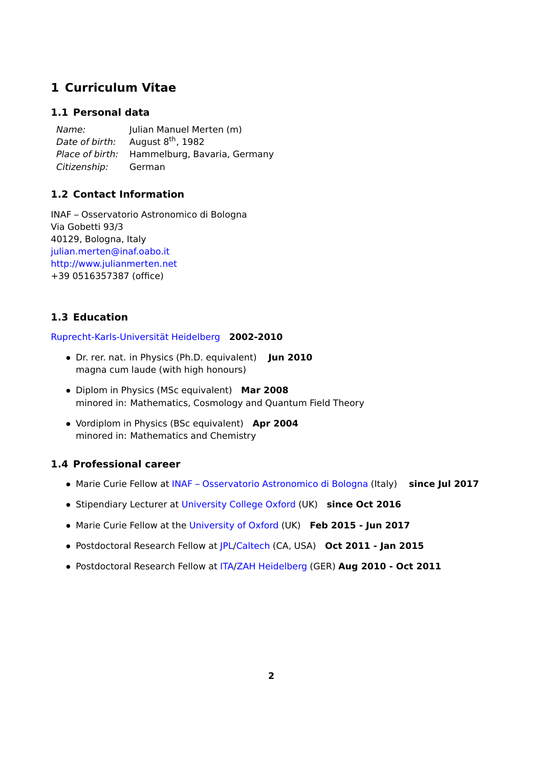## <span id="page-1-0"></span>**1 Curriculum Vitae**

## <span id="page-1-1"></span>**1.1 Personal data**

Name: Julian Manuel Merten (m) Date of birth: August  $8<sup>th</sup>$ , 1982 Place of birth: Hammelburg, Bavaria, Germany Citizenship: German

## <span id="page-1-2"></span>**1.2 Contact Information**

INAF – Osservatorio Astronomico di Bologna Via Gobetti 93/3 40129, Bologna, Italy [julian.merten@inaf.oabo.it](mailto:julian.merten@oabo.inaf.it) <http://www.julianmerten.net> +39 0516357387 (office)

## <span id="page-1-3"></span>**1.3 Education**

## [Ruprecht-Karls-Universität Heidelberg](http://www.uni-heidelberg.de) **2002-2010**

- Dr. rer. nat. in Physics (Ph.D. equivalent) **Jun 2010** magna cum laude (with high honours)
- Diplom in Physics (MSc equivalent) **Mar 2008** minored in: Mathematics, Cosmology and Quantum Field Theory
- Vordiplom in Physics (BSc equivalent) **Apr 2004** minored in: Mathematics and Chemistry

## <span id="page-1-4"></span>**1.4 Professional career**

- Marie Curie Fellow at [INAF Osservatorio Astronomico di Bologna](http://www.oabo.inaf.it) (Italy) **since Jul 2017**
- Stipendiary Lecturer at [University College Oxford](http://www.univ.ox.ac.uk) (UK) **since Oct 2016**
- Marie Curie Fellow at the [University of Oxford](http://www.ox.ac.uk) (UK) **Feb 2015 Jun 2017**
- Postdoctoral Research Fellow at [JPL/](http://www.jpl.nasa.gov)[Caltech](http://www.caltech.edu) (CA, USA) **Oct 2011 Jan 2015**
- Postdoctoral Research Fellow at [ITA/](http://www.ita.uni-heidelberg.de)[ZAH Heidelberg](http://www.zah.uni-hd.de/index.php.de) (GER) **Aug 2010 Oct 2011**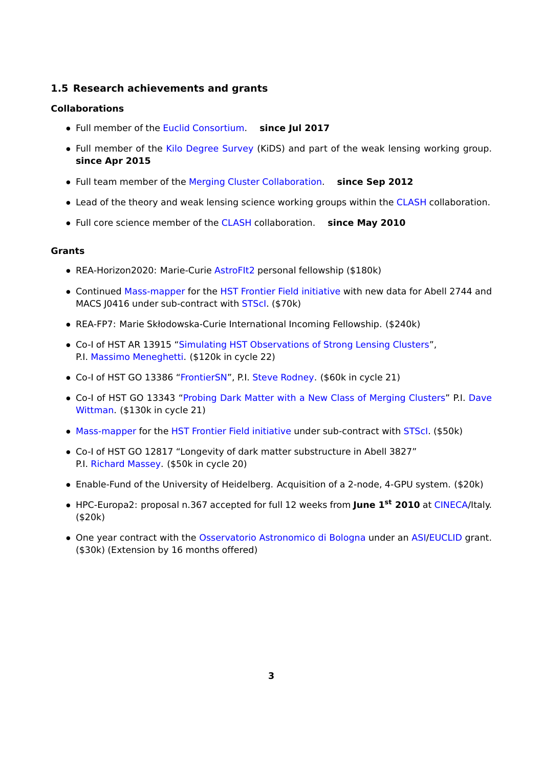## <span id="page-2-0"></span>**1.5 Research achievements and grants**

### **Collaborations**

- Full member of the [Euclid Consortium.](http://www.euclid-ec.org/) **since Jul 2017**
- Full member of the [Kilo Degree Survey](http://kids.strw.leidenuniv.nl/) (KiDS) and part of the weak lensing working group. **since Apr 2015**
- Full team member of the [Merging Cluster Collaboration.](https://sites.google.com/a/ucdavis.edu/merging-cluster-collaboration/) **since Sep 2012**
- Lead of the theory and weak lensing science working groups within the [CLASH](http://www.stsci.edu/~postman/CLASH/) collaboration.
- Full core science member of the [CLASH](http://www.stsci.edu/~postman/CLASH/) collaboration. **since May 2010**

### **Grants**

- REA-Horizon2020: Marie-Curie [AstroFIt2](http://www.astrofit2.inaf.it/) personal fellowship (\$180k)
- Continued [Mass-mapper](http://archive.stsci.edu/prepds/frontier/lensmodels/) for the [HST Frontier Field initiative](http://archive.stsci.edu/prepds/frontier/) with new data for Abell 2744 and MACS J0416 under sub-contract with [STScI.](http://www.stsci.edu) (\$70k)
- REA-FP7: Marie Skłodowska-Curie International Incoming Fellowship. (\$240k)
- Co-I of HST AR 13915 ["Simulating HST Observations of Strong Lensing Clusters"](http://www.stsci.edu/cgi-bin/get-proposal-info?13915), P.I. [Massimo Meneghetti.](mailto:massimo.meneghetti@oabo.inaf.it) (\$120k in cycle 22)
- Co-I of HST GO 13386 ["FrontierSN"](http://www.stsci.edu/cgi-bin/get-proposal-info?id=13386&observatory=HST), P.I. [Steve Rodney.](mailto:rodney@jhu.edu) (\$60k in cycle 21)
- Co-I of HST GO 13343 ["Probing Dark Matter with a New Class of Merging Clusters"](http://www.stsci.edu/cgi-bin/get-proposal-info?id=13343&observatory=HST) P.I. [Dave](mailto:dwittman@physics.ucdavis.edu) [Wittman.](mailto:dwittman@physics.ucdavis.edu) (\$130k in cycle 21)
- [Mass-mapper](http://archive.stsci.edu/prepds/frontier/lensmodels/) for the [HST Frontier Field initiative](http://archive.stsci.edu/prepds/frontier/) under sub-contract with [STScI.](http://www.stsci.edu) (\$50k)
- Co-I of HST GO 12817 "Longevity of dark matter substructure in Abell 3827" P.I. [Richard Massey.](mailto:r.j.massey@durham.ac.uk) (\$50k in cycle 20)
- Enable-Fund of the University of Heidelberg. Acquisition of a 2-node, 4-GPU system. (\$20k)
- HPC-Europa2: proposal n.367 accepted for full 12 weeks from **June 1st 2010** at [CINECA/](http://www.cineca.it/)Italy. (\$20k)
- One year contract with the [Osservatorio Astronomico di Bologna](http://www.oabo.it) under an [ASI/](http://www.asi.it/en)[EUCLID](http://sci.esa.int/euclid/) grant. (\$30k) (Extension by 16 months offered)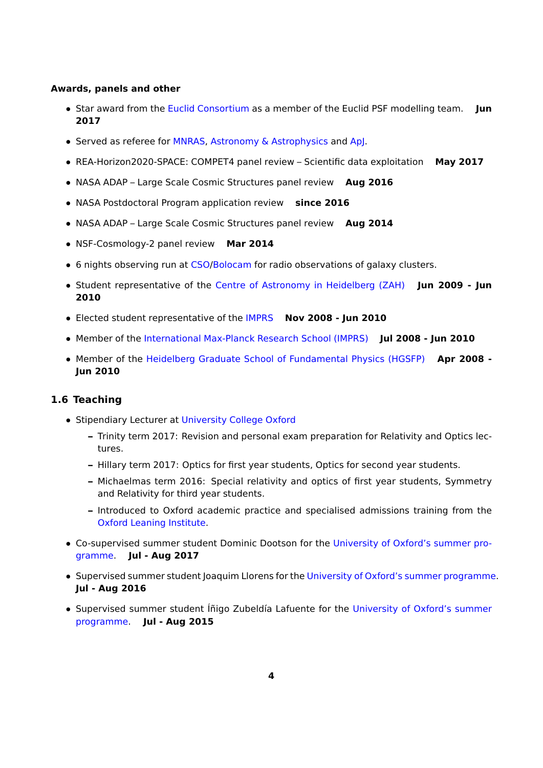### **Awards, panels and other**

- Star award from the [Euclid Consortium](https://www.euclid-ec.org/) as a member of the Euclid PSF modelling team. **Jun 2017**
- Served as referee for [MNRAS,](http://mnras.oxfordjournals.org/) [Astronomy & Astrophysics](https://www.aanda.org/) and [ApJ.](http://iopscience.iop.org/0004-637X)
- REA-Horizon2020-SPACE: COMPET4 panel review Scientific data exploitation **May 2017**
- NASA ADAP Large Scale Cosmic Structures panel review **Aug 2016**
- NASA Postdoctoral Program application review **since 2016**
- NASA ADAP Large Scale Cosmic Structures panel review **Aug 2014**
- NSF-Cosmology-2 panel review **Mar 2014**
- 6 nights observing run at [CSO](http://www.cso.caltech.edu/)[/Bolocam]( http://www.cso.caltech.edu/bolocam/) for radio observations of galaxy clusters.
- Student representative of the [Centre of Astronomy in Heidelberg \(ZAH\)](http://www.zah.uni-hd.de) **Jun 2009 Jun 2010**
- Elected student representative of the [IMPRS](http://www.mpia.de/imprs-hd) **Nov 2008 Jun 2010**
- Member of the [International Max-Planck Research School \(IMPRS\)](http://www.mpia.de/imprs-hd) **Jul 2008 Jun 2010**
- Member of the [Heidelberg Graduate School of Fundamental Physics \(HGSFP\)](http://www.fundamental-physics.uni-hd.de) **Apr 2008 - Jun 2010**

## <span id="page-3-0"></span>**1.6 Teaching**

- Stipendiary Lecturer at [University College Oxford](http://www.uni.ox.ac.uk)
	- **–** Trinity term 2017: Revision and personal exam preparation for Relativity and Optics lectures.
	- **–** Hillary term 2017: Optics for first year students, Optics for second year students.
	- **–** Michaelmas term 2016: Special relativity and optics of first year students, Symmetry and Relativity for third year students.
	- **–** Introduced to Oxford academic practice and specialised admissions training from the [Oxford Leaning Institute.](https://www.learning.ox.ac.uk/)
- Co-supervised summer student Dominic Dootson for the [University of Oxford's summer pro](http://www2.physics.ox.ac.uk/research/astrophysics/summer-students)[gramme.](http://www2.physics.ox.ac.uk/research/astrophysics/summer-students) **Jul - Aug 2017**
- Supervised summer student Joaquim Llorens for the [University of Oxford's summer programme.](http://www2.physics.ox.ac.uk/research/astrophysics/summer-students) **Jul - Aug 2016**
- Supervised summer student Íñigo Zubeldía Lafuente for the [University of Oxford's summer](http://www2.physics.ox.ac.uk/research/astrophysics/summer-students) [programme.](http://www2.physics.ox.ac.uk/research/astrophysics/summer-students) **Jul - Aug 2015**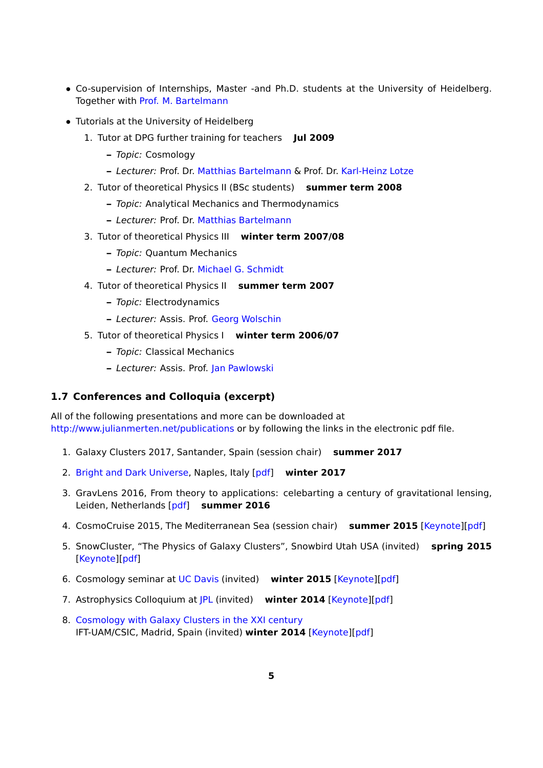- Co-supervision of Internships, Master -and Ph.D. students at the University of Heidelberg. Together with [Prof. M. Bartelmann](mailto:bartelmann@uni-heidelberg.de)
- Tutorials at the University of Heidelberg
	- 1. Tutor at DPG further training for teachers **Jul 2009**
		- **–** Topic: Cosmology
		- **–** Lecturer: Prof. Dr. [Matthias Bartelmann](mailto:bartelmann@uni-heidelberg.de) & Prof. Dr. [Karl-Heinz Lotze](mailto:KH.Lotze@uni-jena.de)
	- 2. Tutor of theoretical Physics II (BSc students) **summer term 2008**
		- **–** Topic: Analytical Mechanics and Thermodynamics
		- **–** Lecturer: Prof. Dr. [Matthias Bartelmann](mailto:bartelmann@uni-heidelberg.de)
	- 3. Tutor of theoretical Physics III **winter term 2007/08**
		- **–** Topic: Quantum Mechanics
		- **–** Lecturer: Prof. Dr. [Michael G. Schmidt](mailto:M.G.Schmidt@ThPhys.Uni-Heidelberg.DE)
	- 4. Tutor of theoretical Physics II **summer term 2007**
		- **–** Topic: Electrodynamics
		- **–** Lecturer: Assis. Prof. [Georg Wolschin](mailto:G.Wolschin@ThPhys.Uni-Heidelberg.DE)
	- 5. Tutor of theoretical Physics I **winter term 2006/07**
		- **–** Topic: Classical Mechanics
		- **–** Lecturer: Assis. Prof. [Jan Pawlowski](mailto:J.Pawlowski@ThPhys.Uni-Heidelberg.DE)

## <span id="page-4-0"></span>**1.7 Conferences and Colloquia (excerpt)**

All of the following presentations and more can be downloaded at <http://www.julianmerten.net/publications> or by following the links in the electronic pdf file.

- 1. Galaxy Clusters 2017, Santander, Spain (session chair) **summer 2017**
- 2. [Bright and Dark Universe,](http://www.na.astro.it/eventi/bduniverse/Home.html) Naples, Italy [\[pdf\]]( http://www.julianmerten.net/talks/science/bduniverse_naples_jmm_010217.pdf ) **winter 2017**
- 3. GravLens 2016, From theory to applications: celebarting a century of gravitational lensing, Leiden, Netherlands [\[pdf\]](http://www.julianmerten.net/talks/science/gravlens16_jmm_120716.pdf) **summer 2016**
- 4. CosmoCruise 2015, The Mediterranean Sea (session chair) **summer 2015** [\[Keynote\]](http://www.julianmerten.net/talks/science/cosmoCruise_040915_JMM.key)[\[pdf\]](http://www.julianmerten.net/talks/science/cosmoCruise_040915_JMM.pdf)
- 5. SnowCluster, "The Physics of Galaxy Clusters", Snowbird Utah USA (invited) **spring 2015** [\[Keynote\]](http://www.julianmerten.net/talks/science/Snowcluster_160315_JMM.key)[\[pdf\]](http://www.julianmerten.net/talks/science/Snowcluster_160315_JMM.pdf)
- 6. Cosmology seminar at [UC Davis](http://ucdavis.edu/) (invited) **winter 2015** [\[Keynote\]](http://www.julianmerten.net/talks/science/UCDavis_150115.key)[\[pdf\]](http://www.julianmerten.net/talks/science/UCDavis_150115.pdf)
- 7. Astrophysics Colloquium at [JPL](http://www.jpl.nasa.gov) (invited) **winter 2014** [\[Keynote\]](http://www.julianmerten.net/talks/science/JPL_colloquium_jmm_041214.key)[\[pdf\]](http://www.julianmerten.net/talks/science/JPL_colloquium_jmm_041214.pdf)
- 8. [Cosmology with Galaxy Clusters in the XXI century](http://workshops.ift.uam-csic.es/iftw.php/ws/clustercosmology/home) IFT-UAM/CSIC, Madrid, Spain (invited) **winter 2014** [\[Keynote\]](http://www.julianmerten.net/talks/science/Madrid_061114_JMM.key)[\[pdf\]](http://www.julianmerten.net/talks/science/Madrid_061114_JMM.pdf)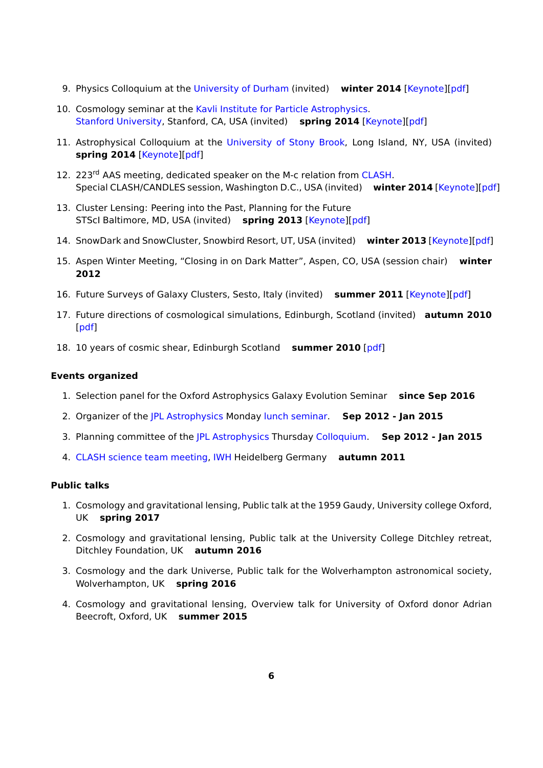- 9. Physics Colloquium at the [University of Durham](https://www.dur.ac.uk/) (invited) **winter 2014** [\[Keynote\]](http://www.julianmerten.net/talks/science/Durham_221014_JMM.key)[\[pdf\]](http://www.julianmerten.net/talks/science/Durham_221014_JMM.pdf)
- 10. Cosmology seminar at the [Kavli Institute for Particle Astrophysics.](http://www.kipac.stanford.edu) [Stanford University,](http://www.stanford.edu) Stanford, CA, USA (invited) **spring 2014** [\[Keynote\]](http://www.julianmerten.net/talks/science/Stanford_190514_JMM.key)[\[pdf\]](http://www.julianmerten.net/talks/science/Stanford_190514_JMM.pdf)
- 11. Astrophysical Colloquium at the [University of Stony Brook,](http://www.stonybrook.edu) Long Island, NY, USA (invited) **spring 2014** [\[Keynote\]](http://www.julianmerten.net/talks/science/stony_brook_jmerten250214.key)[\[pdf\]](http://www.julianmerten.net/talks/science/stony_brook_jmerten250214.pdf)
- 12. 223<sup>rd</sup> AAS meeting, dedicated speaker on the M-c relation from [CLASH.](http://www.stsci.edu/~postman/CLASH/) Special CLASH/CANDLES session, Washington D.C., USA (invited) winter 2014 [\[Keynote\]](http://www.julianmerten.net/talks/science/aas223_Jan2014_Merten.key)[\[pdf\]](http://www.julianmerten.net/talks/science/aas223_Jan2014_Merten.pdf)
- 13. Cluster Lensing: Peering into the Past, Planning for the Future STScI Baltimore, MD, USA (invited) **spring 2013** [\[Keynote\]](http://www.julianmerten.net/talks/science/stsci_2013_merten.key)[\[pdf\]](http://www.julianmerten.net/talks/science/stsci_2013_merten.pdf)
- 14. SnowDark and SnowCluster, Snowbird Resort, UT, USA (invited) **winter 2013** [\[Keynote\]](http://www.julianmerten.net/talks/science/snowdark13_merten.key)[\[pdf\]](http://www.julianmerten.net/talks/science/snowdark13_merten.pdf)
- 15. Aspen Winter Meeting, "Closing in on Dark Matter", Aspen, CO, USA (session chair) **winter 2012**
- 16. Future Surveys of Galaxy Clusters, Sesto, Italy (invited) **summer 2011** [\[Keynote\]](http://www.julianmerten.net/talks/science/sesto050711.key)[\[pdf\]](http://www.julianmerten.net/talks/science/sesto050711.pdf)
- 17. Future directions of cosmological simulations, Edinburgh, Scotland (invited) **autumn 2010** [\[pdf\]](http://www.julianmerten.net/talks/science/edinburgh091110.pdf)
- 18. 10 years of cosmic shear, Edinburgh Scotland **summer 2010** [\[pdf\]](http://www.julianmerten.net/talks/science/edinburgh200710.pdf)

### **Events organized**

- 1. Selection panel for the Oxford Astrophysics Galaxy Evolution Seminar **since Sep 2016**
- 2. Organizer of the [JPL Astrophysics](http://science.jpl.nasa.gov/Astrophysics/index.cfm) Monday [lunch seminar.](http://sciencetalks.jpl.nasa.gov/cgi/astrolist2013.html) **Sep 2012 Jan 2015**
- 3. Planning committee of the [JPL Astrophysics](http://science.jpl.nasa.gov/Astrophysics/index.cfm) Thursday [Colloquium.](http://sciencetalks.jpl.nasa.gov/cgi/astrolist2013.html) **Sep 2012 Jan 2015**
- 4. [CLASH science team meeting,](http://www.ita.uni-heidelberg.de/clash-meeting/) [IWH](http://www.iwh.uni-hd.de/index_engl.html) Heidelberg Germany **autumn 2011**

## **Public talks**

- 1. Cosmology and gravitational lensing, Public talk at the 1959 Gaudy, University college Oxford, UK **spring 2017**
- 2. Cosmology and gravitational lensing, Public talk at the University College Ditchley retreat, Ditchley Foundation, UK **autumn 2016**
- 3. Cosmology and the dark Universe, Public talk for the Wolverhampton astronomical society, Wolverhampton, UK **spring 2016**
- 4. Cosmology and gravitational lensing, Overview talk for University of Oxford donor Adrian Beecroft, Oxford, UK **summer 2015**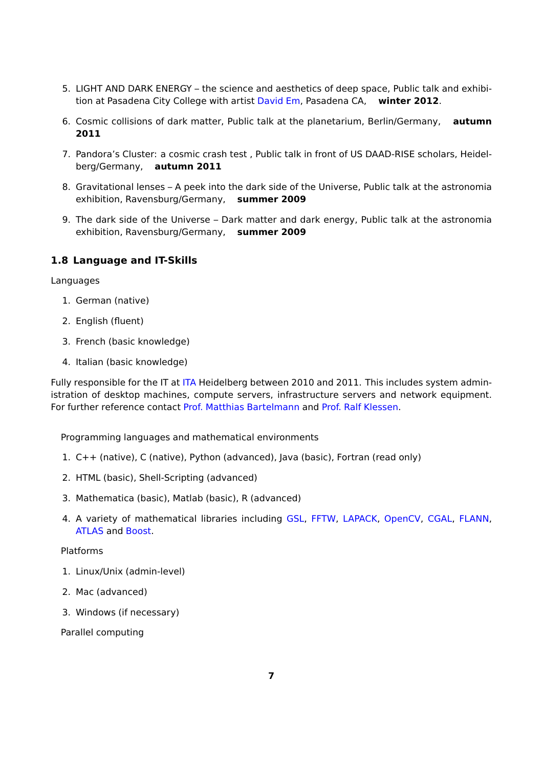- 5. LIGHT AND DARK ENERGY the science and aesthetics of deep space, Public talk and exhibition at Pasadena City College with artist [David Em,](mailto:davidem.em2@gmail.com) Pasadena CA, **winter 2012**.
- 6. Cosmic collisions of dark matter, Public talk at the planetarium, Berlin/Germany, **autumn 2011**
- 7. Pandora's Cluster: a cosmic crash test , Public talk in front of US DAAD-RISE scholars, Heidelberg/Germany, **autumn 2011**
- 8. Gravitational lenses A peek into the dark side of the Universe, Public talk at the astronomia exhibition, Ravensburg/Germany, **summer 2009**
- 9. The dark side of the Universe Dark matter and dark energy, Public talk at the astronomia exhibition, Ravensburg/Germany, **summer 2009**

## <span id="page-6-0"></span>**1.8 Language and IT-Skills**

Languages

- 1. German (native)
- 2. English (fluent)
- 3. French (basic knowledge)
- 4. Italian (basic knowledge)

Fully responsible for the IT at [ITA](http://www.ita.uni-heidelberg.de) Heidelberg between 2010 and 2011. This includes system administration of desktop machines, compute servers, infrastructure servers and network equipment. For further reference contact [Prof. Matthias Bartelmann](mailto:bartelmann@uni-heidelberg.de) and [Prof. Ralf Klessen.](mailto:klessen@uni-heidelberg.de)

Programming languages and mathematical environments

- 1. C++ (native), C (native), Python (advanced), Java (basic), Fortran (read only)
- 2. HTML (basic), Shell-Scripting (advanced)
- 3. Mathematica (basic), Matlab (basic), R (advanced)
- 4. A variety of mathematical libraries including [GSL,](http://www.gnu.org/software/gsl/) [FFTW,](http://www.fftw.org/) [LAPACK,](http://www.netlib.org/lapack/) [OpenCV,](http://www.opencv.org) [CGAL,](http://www.cgal.org/) [FLANN,](http://www.cs.ubc.ca/research/flann) [ATLAS](http://math-atlas.sourceforge.net/) and [Boost.](http://www.boost.org/)

### Platforms

- 1. Linux/Unix (admin-level)
- 2. Mac (advanced)
- 3. Windows (if necessary)

Parallel computing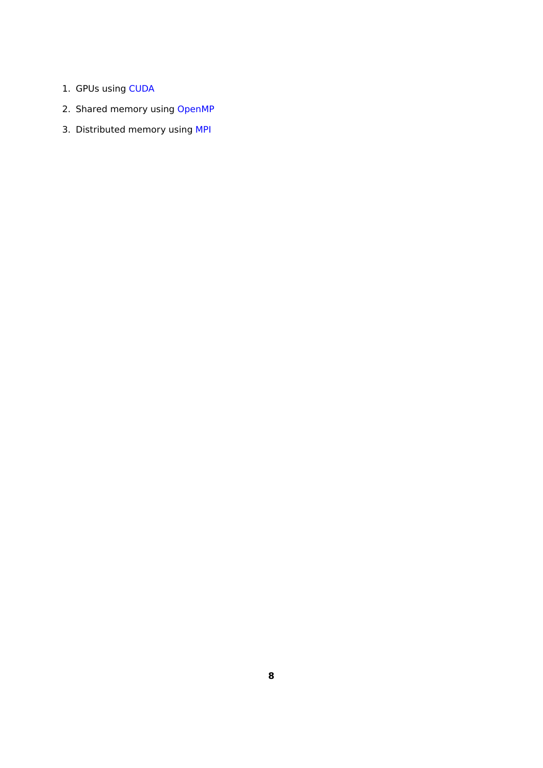- 1. GPUs using [CUDA](http://www.nvidia.com/object/cuda_home_new.html)
- 2. Shared memory using [OpenMP](http://openmp.org/wp/)
- 3. Distributed memory using [MPI](http://www.mcs.anl.gov/research/projects/mpi/)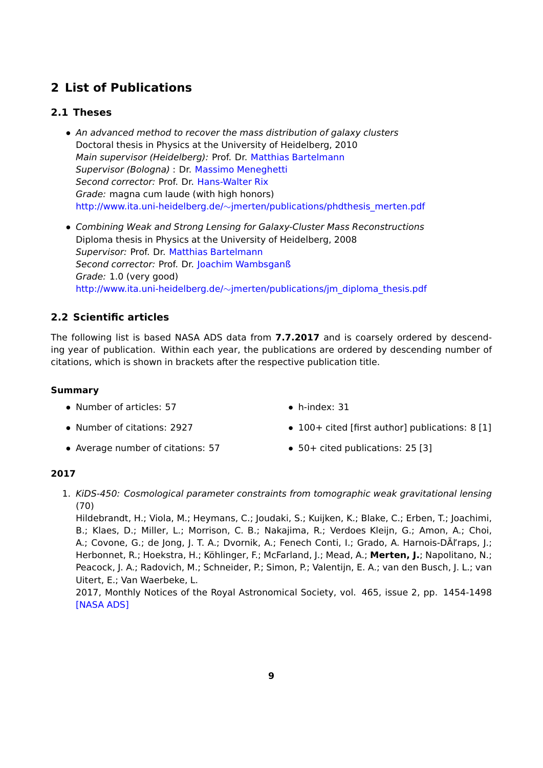## <span id="page-8-0"></span>**2 List of Publications**

## <span id="page-8-1"></span>**2.1 Theses**

- An advanced method to recover the mass distribution of galaxy clusters Doctoral thesis in Physics at the University of Heidelberg, 2010 Main supervisor (Heidelberg): Prof. Dr. [Matthias Bartelmann](mailto:bartelmann@uni-heidelberg.de) Supervisor (Bologna) : Dr. [Massimo Meneghetti](mailto:massimo.meneghetti@oabo.inaf.it) Second corrector: Prof. Dr. [Hans-Walter Rix](mailto:rix@mpia.de) Grade: magna cum laude (with high honors) http://www.ita.uni-heidelberg.de/∼[jmerten/publications/phdthesis\\_merten.pdf](http://www.ita.uni-heidelberg.de/~jmerten/publications/phdthesis_merten.pdf)
- Combining Weak and Strong Lensing for Galaxy-Cluster Mass Reconstructions Diploma thesis in Physics at the University of Heidelberg, 2008 Supervisor: Prof. Dr. [Matthias Bartelmann](mailto:bartelmann@uni-heidelberg.de) Second corrector: Prof. Dr. [Joachim Wambsganß](mailto:jkw@ari.uni-heidelberg.de) Grade: 1.0 (very good) http://www.ita.uni-heidelberg.de/∼[jmerten/publications/jm\\_diploma\\_thesis.pdf](http://www.ita.uni-heidelberg.de/~jmerten/publications/jm_diploma_thesis.pdf)

## <span id="page-8-2"></span>**2.2 Scientific articles**

The following list is based NASA ADS data from **7.7.2017** and is coarsely ordered by descending year of publication. Within each year, the publications are ordered by descending number of citations, which is shown in brackets after the respective publication title.

## **Summary**

• Number of articles: 57

• h-index: 31

- Number of citations: 2927
- Average number of citations: 57
- 100+ cited [first author] publications: 8 [1]
- 50+ cited publications: 25 [3]

## **2017**

1. KiDS-450: Cosmological parameter constraints from tomographic weak gravitational lensing (70)

Hildebrandt, H.; Viola, M.; Heymans, C.; Joudaki, S.; Kuijken, K.; Blake, C.; Erben, T.; Joachimi, B.; Klaes, D.; Miller, L.; Morrison, C. B.; Nakajima, R.; Verdoes Kleijn, G.; Amon, A.; Choi, A.; Covone, G.; de Jong, J. T. A.; Dvornik, A.; Fenech Conti, I.; Grado, A. Harnois-DÃl'raps, J.; Herbonnet, R.; Hoekstra, H.; Köhlinger, F.; McFarland, J.; Mead, A.; **Merten, J.**; Napolitano, N.; Peacock, J. A.; Radovich, M.; Schneider, P.; Simon, P.; Valentijn, E. A.; van den Busch, J. L.; van Uitert, E.; Van Waerbeke, L.

2017, Monthly Notices of the Royal Astronomical Society, vol. 465, issue 2, pp. 1454-1498 [\[NASA ADS\]](http://adsabs.harvard.edu/abs/2017MNRAS.465.1454H)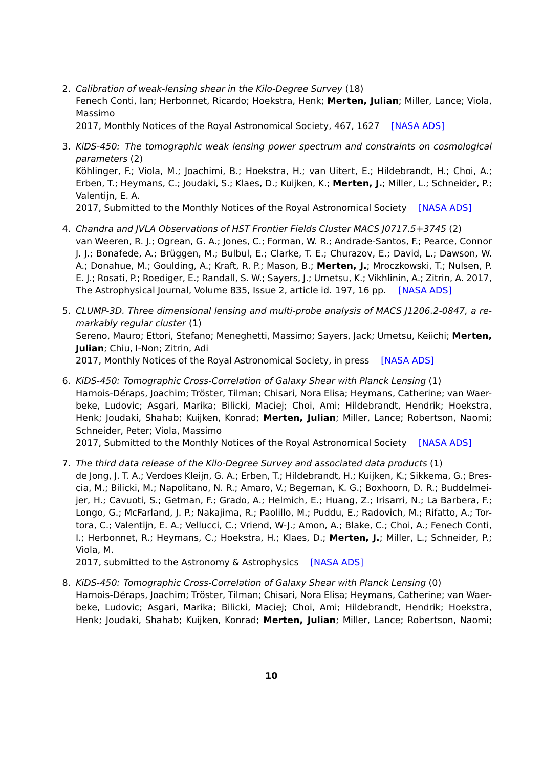2. Calibration of weak-lensing shear in the Kilo-Degree Survey (18) Fenech Conti, Ian; Herbonnet, Ricardo; Hoekstra, Henk; **Merten, Julian**; Miller, Lance; Viola, Massimo

2017, Monthly Notices of the Royal Astronomical Society, 467, 1627 [\[NASA ADS\]](http://adsabs.harvard.edu/doi/10.1093/mnras/stx200)

3. KiDS-450: The tomographic weak lensing power spectrum and constraints on cosmological parameters (2) Köhlinger, F.; Viola, M.; Joachimi, B.; Hoekstra, H.; van Uitert, E.; Hildebrandt, H.; Choi, A.; Erben, T.; Heymans, C.; Joudaki, S.; Klaes, D.; Kuijken, K.; **Merten, J.**; Miller, L.; Schneider, P.; Valentijn, E. A.

2017, Submitted to the Monthly Notices of the Royal Astronomical Society [\[NASA ADS\]](https://ui.adsabs.harvard.edu/#abs/2017arXiv170602892K/abstract)

- 4. Chandra and JVLA Observations of HST Frontier Fields Cluster MACS J0717.5+3745 (2) van Weeren, R. J.; Ogrean, G. A.; Jones, C.; Forman, W. R.; Andrade-Santos, F.; Pearce, Connor J. J.; Bonafede, A.; Brüggen, M.; Bulbul, E.; Clarke, T. E.; Churazov, E.; David, L.; Dawson, W. A.; Donahue, M.; Goulding, A.; Kraft, R. P.; Mason, B.; **Merten, J.**; Mroczkowski, T.; Nulsen, P. E. J.; Rosati, P.; Roediger, E.; Randall, S. W.; Sayers, J.; Umetsu, K.; Vikhlinin, A.; Zitrin, A. 2017, The Astrophysical Journal, Volume 835, Issue 2, article id. 197, 16 pp. [\[NASA ADS\]](http://adsabs.harvard.edu/abs/2017ApJ...835..197V)
- 5. CLUMP-3D. Three dimensional lensing and multi-probe analysis of MACS J1206.2-0847, a remarkably regular cluster (1) Sereno, Mauro; Ettori, Stefano; Meneghetti, Massimo; Sayers, Jack; Umetsu, Keiichi; **Merten, Julian**; Chiu, I-Non; Zitrin, Adi 2017, Monthly Notices of the Royal Astronomical Society, in press [\[NASA ADS\]](http://adsabs.harvard.edu/abs/2017arXiv170200795S)
- 6. KiDS-450: Tomographic Cross-Correlation of Galaxy Shear with Planck Lensing (1) Harnois-Déraps, Joachim; Tröster, Tilman; Chisari, Nora Elisa; Heymans, Catherine; van Waerbeke, Ludovic; Asgari, Marika; Bilicki, Maciej; Choi, Ami; Hildebrandt, Hendrik; Hoekstra, Henk; Joudaki, Shahab; Kuijken, Konrad; **Merten, Julian**; Miller, Lance; Robertson, Naomi; Schneider, Peter; Viola, Massimo

2017, Submitted to the Monthly Notices of the Royal Astronomical Society [\[NASA ADS\]](https://ui.adsabs.harvard.edu/#abs/2017arXiv170303383H/abstract)

7. The third data release of the Kilo-Degree Survey and associated data products (1) de Jong, J. T. A.; Verdoes Kleijn, G. A.; Erben, T.; Hildebrandt, H.; Kuijken, K.; Sikkema, G.; Brescia, M.; Bilicki, M.; Napolitano, N. R.; Amaro, V.; Begeman, K. G.; Boxhoorn, D. R.; Buddelmeijer, H.; Cavuoti, S.; Getman, F.; Grado, A.; Helmich, E.; Huang, Z.; Irisarri, N.; La Barbera, F.; Longo, G.; McFarland, J. P.; Nakajima, R.; Paolillo, M.; Puddu, E.; Radovich, M.; Rifatto, A.; Tortora, C.; Valentijn, E. A.; Vellucci, C.; Vriend, W-J.; Amon, A.; Blake, C.; Choi, A.; Fenech Conti, I.; Herbonnet, R.; Heymans, C.; Hoekstra, H.; Klaes, D.; **Merten, J.**; Miller, L.; Schneider, P.; Viola, M.

2017, submitted to the Astronomy & Astrophysics [\[NASA ADS\]](http://adsabs.harvard.edu/abs/2017arXiv170302991D)

8. KiDS-450: Tomographic Cross-Correlation of Galaxy Shear with Planck Lensing (0) Harnois-Déraps, Joachim; Tröster, Tilman; Chisari, Nora Elisa; Heymans, Catherine; van Waerbeke, Ludovic; Asgari, Marika; Bilicki, Maciej; Choi, Ami; Hildebrandt, Hendrik; Hoekstra, Henk; Joudaki, Shahab; Kuijken, Konrad; **Merten, Julian**; Miller, Lance; Robertson, Naomi;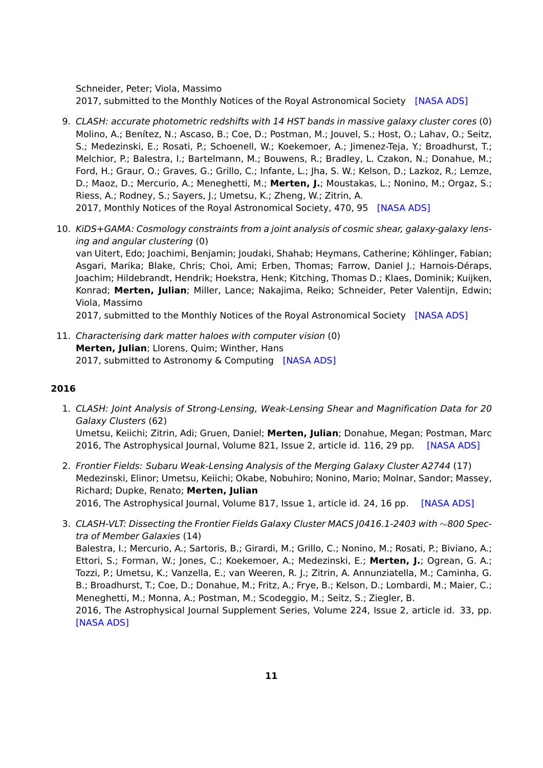Schneider, Peter; Viola, Massimo 2017, submitted to the Monthly Notices of the Royal Astronomical Society [\[NASA ADS\]](http://adsabs.harvard.edu/abs/2017arXiv170303383H)

- 9. CLASH: accurate photometric redshifts with 14 HST bands in massive galaxy cluster cores (0) Molino, A.; Benítez, N.; Ascaso, B.; Coe, D.; Postman, M.; Jouvel, S.; Host, O.; Lahav, O.; Seitz, S.; Medezinski, E.; Rosati, P.; Schoenell, W.; Koekemoer, A.; Jimenez-Teja, Y.; Broadhurst, T.; Melchior, P.; Balestra, I.; Bartelmann, M.; Bouwens, R.; Bradley, L. Czakon, N.; Donahue, M.; Ford, H.; Graur, O.; Graves, G.; Grillo, C.; Infante, L.; Jha, S. W.; Kelson, D.; Lazkoz, R.; Lemze, D.; Maoz, D.; Mercurio, A.; Meneghetti, M.; **Merten, J.**; Moustakas, L.; Nonino, M.; Orgaz, S.; Riess, A.; Rodney, S.; Sayers, J.; Umetsu, K.; Zheng, W.; Zitrin, A. 2017, Monthly Notices of the Royal Astronomical Society, 470, 95 [\[NASA ADS\]](https://ui.adsabs.harvard.edu/#abs/2017MNRAS.470...95M/abstract)
- 10. KiDS+GAMA: Cosmology constraints from a joint analysis of cosmic shear, galaxy-galaxy lensing and angular clustering (0)

van Uitert, Edo; Joachimi, Benjamin; Joudaki, Shahab; Heymans, Catherine; Köhlinger, Fabian; Asgari, Marika; Blake, Chris; Choi, Ami; Erben, Thomas; Farrow, Daniel J.; Harnois-Déraps, Joachim; Hildebrandt, Hendrik; Hoekstra, Henk; Kitching, Thomas D.; Klaes, Dominik; Kuijken, Konrad; **Merten, Julian**; Miller, Lance; Nakajima, Reiko; Schneider, Peter Valentijn, Edwin; Viola, Massimo

2017, submitted to the Monthly Notices of the Royal Astronomical Society [\[NASA ADS\]](https://ui.adsabs.harvard.edu/#abs/2017arXiv170605004V/abstract)

11. Characterising dark matter haloes with computer vision (0) **Merten, Julian**; Llorens, Quim; Winther, Hans 2017, submitted to Astronomy & Computing [\[NASA ADS\]](https://ui.adsabs.harvard.edu/#abs/2017arXiv170405072M/abstract)

### **2016**

- 1. CLASH: Joint Analysis of Strong-Lensing, Weak-Lensing Shear and Magnification Data for 20 Galaxy Clusters (62) Umetsu, Keiichi; Zitrin, Adi; Gruen, Daniel; **Merten, Julian**; Donahue, Megan; Postman, Marc 2016, The Astrophysical Journal, Volume 821, Issue 2, article id. 116, 29 pp. [\[NASA ADS\]](http://adsabs.harvard.edu/abs/2016ApJ...821..116U)
- 2. Frontier Fields: Subaru Weak-Lensing Analysis of the Merging Galaxy Cluster A2744 (17) Medezinski, Elinor; Umetsu, Keiichi; Okabe, Nobuhiro; Nonino, Mario; Molnar, Sandor; Massey, Richard; Dupke, Renato; **Merten, Julian** 2016, The Astrophysical Journal, Volume 817, Issue 1, article id. 24, 16 pp. [\[NASA ADS\]](https://ui.adsabs.harvard.edu/#abs/2016ApJ...817...24M/abstract)
- 3. CLASH-VLT: Dissecting the Frontier Fields Galaxy Cluster MACS J0416.1-2403 with ∼800 Spectra of Member Galaxies (14)

Balestra, I.; Mercurio, A.; Sartoris, B.; Girardi, M.; Grillo, C.; Nonino, M.; Rosati, P.; Biviano, A.; Ettori, S.; Forman, W.; Jones, C.; Koekemoer, A.; Medezinski, E.; **Merten, J.**; Ogrean, G. A.; Tozzi, P.; Umetsu, K.; Vanzella, E.; van Weeren, R. J.; Zitrin, A. Annunziatella, M.; Caminha, G. B.; Broadhurst, T.; Coe, D.; Donahue, M.; Fritz, A.; Frye, B.; Kelson, D.; Lombardi, M.; Maier, C.; Meneghetti, M.; Monna, A.; Postman, M.; Scodeggio, M.; Seitz, S.; Ziegler, B.

2016, The Astrophysical Journal Supplement Series, Volume 224, Issue 2, article id. 33, pp. [\[NASA ADS\]](https://ui.adsabs.harvard.edu/#abs/2016ApJS..224...33B/abstract)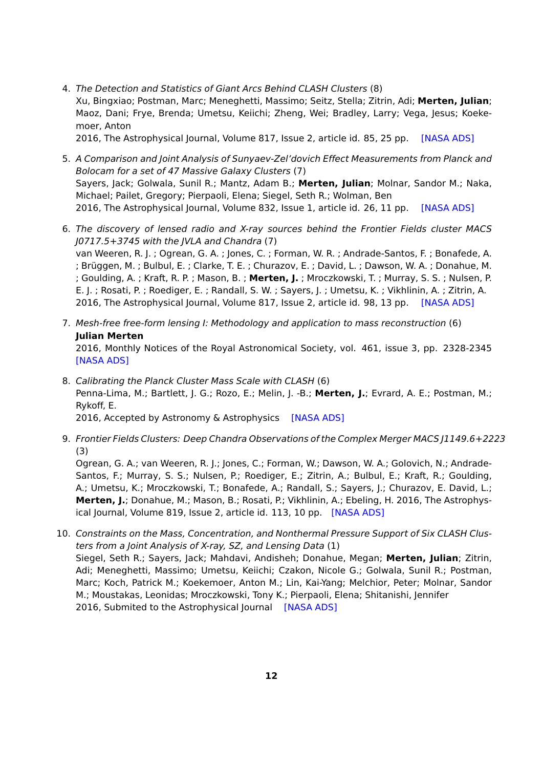- 4. The Detection and Statistics of Giant Arcs Behind CLASH Clusters (8) Xu, Bingxiao; Postman, Marc; Meneghetti, Massimo; Seitz, Stella; Zitrin, Adi; **Merten, Julian**; Maoz, Dani; Frye, Brenda; Umetsu, Keiichi; Zheng, Wei; Bradley, Larry; Vega, Jesus; Koekemoer, Anton 2016, The Astrophysical Journal, Volume 817, Issue 2, article id. 85, 25 pp. [\[NASA ADS\]](http://adsabs.harvard.edu/abs/2015arXiv151104002X)
- 5. A Comparison and Joint Analysis of Sunyaev-Zel'dovich Effect Measurements from Planck and Bolocam for a set of 47 Massive Galaxy Clusters (7) Sayers, Jack; Golwala, Sunil R.; Mantz, Adam B.; **Merten, Julian**; Molnar, Sandor M.; Naka, Michael; Pailet, Gregory; Pierpaoli, Elena; Siegel, Seth R.; Wolman, Ben 2016, The Astrophysical Journal, Volume 832, Issue 1, article id. 26, 11 pp. [\[NASA ADS\]](http://adsabs.harvard.edu/abs/2016arXiv160503541S)
- 6. The discovery of lensed radio and X-ray sources behind the Frontier Fields cluster MACS J0717.5+3745 with the JVLA and Chandra (7) van Weeren, R. J. ; Ogrean, G. A. ; Jones, C. ; Forman, W. R. ; Andrade-Santos, F. ; Bonafede, A. ; Brüggen, M. ; Bulbul, E. ; Clarke, T. E. ; Churazov, E. ; David, L. ; Dawson, W. A. ; Donahue, M. ; Goulding, A. ; Kraft, R. P. ; Mason, B. ; **Merten, J.** ; Mroczkowski, T. ; Murray, S. S. ; Nulsen, P. E. J. ; Rosati, P. ; Roediger, E. ; Randall, S. W. ; Sayers, J. ; Umetsu, K. ; Vikhlinin, A. ; Zitrin, A. 2016, The Astrophysical Journal, Volume 817, Issue 2, article id. 98, 13 pp. [\[NASA ADS\]](http://adsabs.harvard.edu/abs/2016ApJ...817...98V)
- 7. Mesh-free free-form lensing I: Methodology and application to mass reconstruction (6) **Julian Merten** 2016, Monthly Notices of the Royal Astronomical Society, vol. 461, issue 3, pp. 2328-2345 [\[NASA ADS\]](http://adsabs.harvard.edu/abs/2014arXiv1412.5186M)
- 8. Calibrating the Planck Cluster Mass Scale with CLASH (6) Penna-Lima, M.; Bartlett, J. G.; Rozo, E.; Melin, J. -B.; **Merten, J.**; Evrard, A. E.; Postman, M.; Rykoff, E. 2016, Accepted by Astronomy & Astrophysics [\[NASA ADS\]](https://ui.adsabs.harvard.edu/#abs/2016arXiv160805356P/abstract)
- 9. Frontier Fields Clusters: Deep Chandra Observations of the Complex Merger MACS J1149.6+2223 (3)

Ogrean, G. A.; van Weeren, R. J.; Jones, C.; Forman, W.; Dawson, W. A.; Golovich, N.; Andrade-Santos, F.; Murray, S. S.; Nulsen, P.; Roediger, E.; Zitrin, A.; Bulbul, E.; Kraft, R.; Goulding, A.; Umetsu, K.; Mroczkowski, T.; Bonafede, A.; Randall, S.; Sayers, J.; Churazov, E. David, L.; **Merten, J.**; Donahue, M.; Mason, B.; Rosati, P.; Vikhlinin, A.; Ebeling, H. 2016, The Astrophysical Journal, Volume 819, Issue 2, article id. 113, 10 pp. [\[NASA ADS\]](http://adsabs.harvard.edu/abs/2016ApJ...819..113O)

10. Constraints on the Mass, Concentration, and Nonthermal Pressure Support of Six CLASH Clusters from a Joint Analysis of X-ray, SZ, and Lensing Data (1) Siegel, Seth R.; Sayers, Jack; Mahdavi, Andisheh; Donahue, Megan; **Merten, Julian**; Zitrin, Adi; Meneghetti, Massimo; Umetsu, Keiichi; Czakon, Nicole G.; Golwala, Sunil R.; Postman, Marc; Koch, Patrick M.; Koekemoer, Anton M.; Lin, Kai-Yang; Melchior, Peter; Molnar, Sandor M.; Moustakas, Leonidas; Mroczkowski, Tony K.; Pierpaoli, Elena; Shitanishi, Jennifer 2016, Submited to the Astrophysical Journal [\[NASA ADS\]](https://ui.adsabs.harvard.edu/#abs/2016arXiv161205377S/abstract)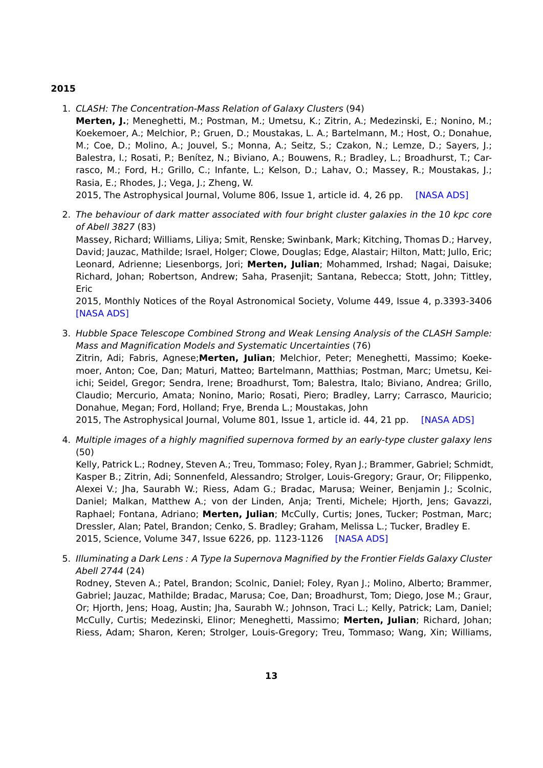### **2015**

- 1. CLASH: The Concentration-Mass Relation of Galaxy Clusters (94)
	- **Merten, J.**; Meneghetti, M.; Postman, M.; Umetsu, K.; Zitrin, A.; Medezinski, E.; Nonino, M.; Koekemoer, A.; Melchior, P.; Gruen, D.; Moustakas, L. A.; Bartelmann, M.; Host, O.; Donahue, M.; Coe, D.; Molino, A.; Jouvel, S.; Monna, A.; Seitz, S.; Czakon, N.; Lemze, D.; Sayers, J.; Balestra, I.; Rosati, P.; Benítez, N.; Biviano, A.; Bouwens, R.; Bradley, L.; Broadhurst, T.; Carrasco, M.; Ford, H.; Grillo, C.; Infante, L.; Kelson, D.; Lahav, O.; Massey, R.; Moustakas, J.; Rasia, E.; Rhodes, J.; Vega, J.; Zheng, W.

2015, The Astrophysical Journal, Volume 806, Issue 1, article id. 4, 26 pp. [\[NASA ADS\]](http://adsabs.harvard.edu/abs/2015ApJ...806....4M)

2. The behaviour of dark matter associated with four bright cluster galaxies in the 10 kpc core of Abell 3827 (83)

Massey, Richard; Williams, Liliya; Smit, Renske; Swinbank, Mark; Kitching, Thomas D.; Harvey, David; Jauzac, Mathilde; Israel, Holger; Clowe, Douglas; Edge, Alastair; Hilton, Matt; Jullo, Eric; Leonard, Adrienne; Liesenborgs, Jori; **Merten, Julian**; Mohammed, Irshad; Nagai, Daisuke; Richard, Johan; Robertson, Andrew; Saha, Prasenjit; Santana, Rebecca; Stott, John; Tittley, Eric

2015, Monthly Notices of the Royal Astronomical Society, Volume 449, Issue 4, p.3393-3406 [\[NASA ADS\]](http://adsabs.harvard.edu/abs/2015MNRAS.449.3393M)

3. Hubble Space Telescope Combined Strong and Weak Lensing Analysis of the CLASH Sample: Mass and Magnification Models and Systematic Uncertainties (76) Zitrin, Adi; Fabris, Agnese;**Merten, Julian**; Melchior, Peter; Meneghetti, Massimo; Koekemoer, Anton; Coe, Dan; Maturi, Matteo; Bartelmann, Matthias; Postman, Marc; Umetsu, Keiichi; Seidel, Gregor; Sendra, Irene; Broadhurst, Tom; Balestra, Italo; Biviano, Andrea; Grillo, Claudio; Mercurio, Amata; Nonino, Mario; Rosati, Piero; Bradley, Larry; Carrasco, Mauricio; Donahue, Megan; Ford, Holland; Frye, Brenda L.; Moustakas, John

2015, The Astrophysical Journal, Volume 801, Issue 1, article id. 44, 21 pp. [\[NASA ADS\]](http://adsabs.harvard.edu/abs/2015ApJ...801...44Z)

4. Multiple images of a highly magnified supernova formed by an early-type cluster galaxy lens (50)

Kelly, Patrick L.; Rodney, Steven A.; Treu, Tommaso; Foley, Ryan J.; Brammer, Gabriel; Schmidt, Kasper B.; Zitrin, Adi; Sonnenfeld, Alessandro; Strolger, Louis-Gregory; Graur, Or; Filippenko, Alexei V.; Jha, Saurabh W.; Riess, Adam G.; Bradac, Marusa; Weiner, Benjamin J.; Scolnic, Daniel; Malkan, Matthew A.; von der Linden, Anja; Trenti, Michele; Hjorth, Jens; Gavazzi, Raphael; Fontana, Adriano; **Merten, Julian**; McCully, Curtis; Jones, Tucker; Postman, Marc; Dressler, Alan; Patel, Brandon; Cenko, S. Bradley; Graham, Melissa L.; Tucker, Bradley E. 2015, Science, Volume 347, Issue 6226, pp. 1123-1126 [\[NASA ADS\]](http://adsabs.harvard.edu/abs/2015Sci...347.1123K)

5. Illuminating a Dark Lens : A Type Ia Supernova Magnified by the Frontier Fields Galaxy Cluster Abell 2744 (24)

Rodney, Steven A.; Patel, Brandon; Scolnic, Daniel; Foley, Ryan J.; Molino, Alberto; Brammer, Gabriel; Jauzac, Mathilde; Bradac, Marusa; Coe, Dan; Broadhurst, Tom; Diego, Jose M.; Graur, Or; Hjorth, Jens; Hoag, Austin; Jha, Saurabh W.; Johnson, Traci L.; Kelly, Patrick; Lam, Daniel; McCully, Curtis; Medezinski, Elinor; Meneghetti, Massimo; **Merten, Julian**; Richard, Johan; Riess, Adam; Sharon, Keren; Strolger, Louis-Gregory; Treu, Tommaso; Wang, Xin; Williams,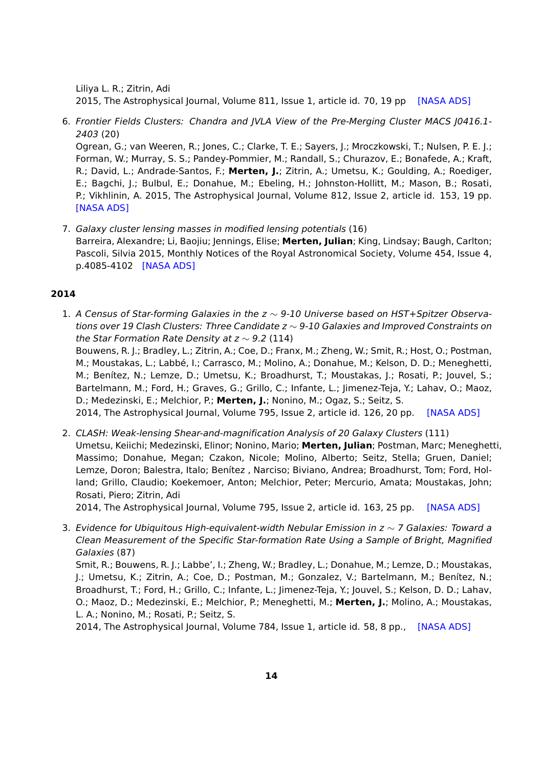Liliya L. R.; Zitrin, Adi

2015, The Astrophysical Journal, Volume 811, Issue 1, article id. 70, 19 pp [\[NASA ADS\]](http://adsabs.harvard.edu/abs/2015arXiv150506211R)

6. Frontier Fields Clusters: Chandra and JVLA View of the Pre-Merging Cluster MACS J0416.1- 2403 (20)

Ogrean, G.; van Weeren, R.; Jones, C.; Clarke, T. E.; Sayers, J.; Mroczkowski, T.; Nulsen, P. E. J.; Forman, W.; Murray, S. S.; Pandey-Pommier, M.; Randall, S.; Churazov, E.; Bonafede, A.; Kraft, R.; David, L.; Andrade-Santos, F.; **Merten, J.**; Zitrin, A.; Umetsu, K.; Goulding, A.; Roediger, E.; Bagchi, J.; Bulbul, E.; Donahue, M.; Ebeling, H.; Johnston-Hollitt, M.; Mason, B.; Rosati, P.; Vikhlinin, A. 2015, The Astrophysical Journal, Volume 812, Issue 2, article id. 153, 19 pp. [\[NASA ADS\]](http://adsabs.harvard.edu/abs/2015ApJ...812..153O)

7. Galaxy cluster lensing masses in modified lensing potentials (16) Barreira, Alexandre; Li, Baojiu; Jennings, Elise; **Merten, Julian**; King, Lindsay; Baugh, Carlton; Pascoli, Silvia 2015, Monthly Notices of the Royal Astronomical Society, Volume 454, Issue 4, p.4085-4102 [\[NASA ADS\]](http://adsabs.harvard.edu/abs/2015MNRAS.454.4085B)

## **2014**

1. A Census of Star-forming Galaxies in the  $z \sim 9$ -10 Universe based on HST+Spitzer Observations over 19 Clash Clusters: Three Candidate z ~ 9-10 Galaxies and Improved Constraints on the Star Formation Rate Density at  $z \sim 9.2$  (114)

Bouwens, R. J.; Bradley, L.; Zitrin, A.; Coe, D.; Franx, M.; Zheng, W.; Smit, R.; Host, O.; Postman, M.; Moustakas, L.; Labbé, I.; Carrasco, M.; Molino, A.; Donahue, M.; Kelson, D. D.; Meneghetti, M.; Benítez, N.; Lemze, D.; Umetsu, K.; Broadhurst, T.; Moustakas, J.; Rosati, P.; Jouvel, S.; Bartelmann, M.; Ford, H.; Graves, G.; Grillo, C.; Infante, L.; Jimenez-Teja, Y.; Lahav, O.; Maoz, D.; Medezinski, E.; Melchior, P.; **Merten, J.**; Nonino, M.; Ogaz, S.; Seitz, S.

2014, The Astrophysical Journal, Volume 795, Issue 2, article id. 126, 20 pp. [\[NASA ADS\]](http://adsabs.harvard.edu/abs/2014ApJ...795..126B)

2. CLASH: Weak-lensing Shear-and-magnification Analysis of 20 Galaxy Clusters (111) Umetsu, Keiichi; Medezinski, Elinor; Nonino, Mario; **Merten, Julian**; Postman, Marc; Meneghetti, Massimo; Donahue, Megan; Czakon, Nicole; Molino, Alberto; Seitz, Stella; Gruen, Daniel; Lemze, Doron; Balestra, Italo; Benítez , Narciso; Biviano, Andrea; Broadhurst, Tom; Ford, Holland; Grillo, Claudio; Koekemoer, Anton; Melchior, Peter; Mercurio, Amata; Moustakas, John; Rosati, Piero; Zitrin, Adi

2014, The Astrophysical Journal, Volume 795, Issue 2, article id. 163, 25 pp. [\[NASA ADS\]](http://adsabs.harvard.edu/abs/2014ApJ...795..163U)

3. Evidence for Ubiquitous High-equivalent-width Nebular Emission in  $z \sim 7$  Galaxies: Toward a Clean Measurement of the Specific Star-formation Rate Using a Sample of Bright, Magnified Galaxies (87)

Smit, R.; Bouwens, R. J.; Labbe', I.; Zheng, W.; Bradley, L.; Donahue, M.; Lemze, D.; Moustakas, J.; Umetsu, K.; Zitrin, A.; Coe, D.; Postman, M.; Gonzalez, V.; Bartelmann, M.; Benítez, N.; Broadhurst, T.; Ford, H.; Grillo, C.; Infante, L.; Jimenez-Teja, Y.; Jouvel, S.; Kelson, D. D.; Lahav, O.; Maoz, D.; Medezinski, E.; Melchior, P.; Meneghetti, M.; **Merten, J.**; Molino, A.; Moustakas, L. A.; Nonino, M.; Rosati, P.; Seitz, S.

2014, The Astrophysical Journal, Volume 784, Issue 1, article id. 58, 8 pp., [\[NASA ADS\]](http://adsabs.harvard.edu/abs/2014ApJ...784...58S)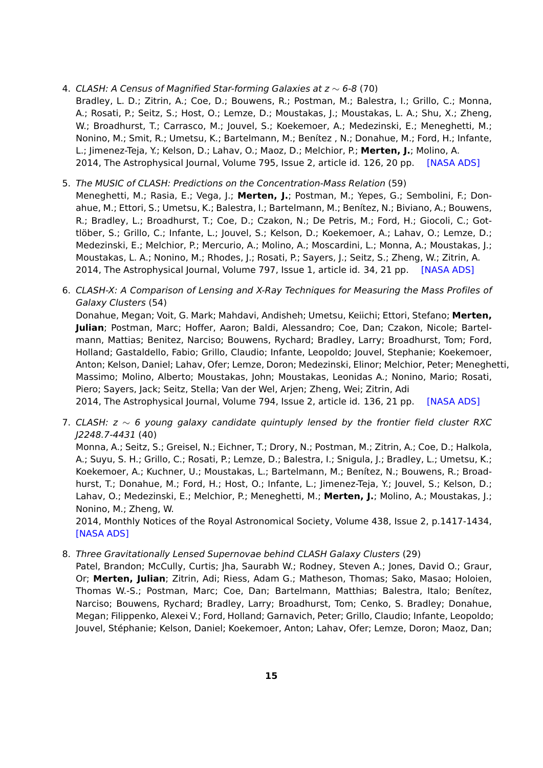4. CLASH: A Census of Magnified Star-forming Galaxies at z ∼ 6-8 (70)

Bradley, L. D.; Zitrin, A.; Coe, D.; Bouwens, R.; Postman, M.; Balestra, I.; Grillo, C.; Monna, A.; Rosati, P.; Seitz, S.; Host, O.; Lemze, D.; Moustakas, J.; Moustakas, L. A.; Shu, X.; Zheng, W.; Broadhurst, T.; Carrasco, M.; Jouvel, S.; Koekemoer, A.; Medezinski, E.; Meneghetti, M.; Nonino, M.; Smit, R.; Umetsu, K.; Bartelmann, M.; Benítez , N.; Donahue, M.; Ford, H.; Infante, L.; Jimenez-Teja, Y.; Kelson, D.; Lahav, O.; Maoz, D.; Melchior, P.; **Merten, J.**; Molino, A. 2014, The Astrophysical Journal, Volume 795, Issue 2, article id. 126, 20 pp. [\[NASA ADS\]](http://adsabs.harvard.edu/abs/2014ApJ...795..126B)

- 5. The MUSIC of CLASH: Predictions on the Concentration-Mass Relation (59) Meneghetti, M.; Rasia, E.; Vega, J.; **Merten, J.**; Postman, M.; Yepes, G.; Sembolini, F.; Donahue, M.; Ettori, S.; Umetsu, K.; Balestra, I.; Bartelmann, M.; Benítez, N.; Biviano, A.; Bouwens, R.; Bradley, L.; Broadhurst, T.; Coe, D.; Czakon, N.; De Petris, M.; Ford, H.; Giocoli, C.; Gottlöber, S.; Grillo, C.; Infante, L.; Jouvel, S.; Kelson, D.; Koekemoer, A.; Lahav, O.; Lemze, D.; Medezinski, E.; Melchior, P.; Mercurio, A.; Molino, A.; Moscardini, L.; Monna, A.; Moustakas, J.; Moustakas, L. A.; Nonino, M.; Rhodes, J.; Rosati, P.; Sayers, J.; Seitz, S.; Zheng, W.; Zitrin, A. 2014, The Astrophysical Journal, Volume 797, Issue 1, article id. 34, 21 pp. [\[NASA ADS\]](http://adsabs.harvard.edu/abs/2014ApJ...797...34M)
- 6. CLASH-X: A Comparison of Lensing and X-Ray Techniques for Measuring the Mass Profiles of Galaxy Clusters (54) Donahue, Megan; Voit, G. Mark; Mahdavi, Andisheh; Umetsu, Keiichi; Ettori, Stefano; **Merten,**

**Julian**; Postman, Marc; Hoffer, Aaron; Baldi, Alessandro; Coe, Dan; Czakon, Nicole; Bartelmann, Mattias; Benitez, Narciso; Bouwens, Rychard; Bradley, Larry; Broadhurst, Tom; Ford, Holland; Gastaldello, Fabio; Grillo, Claudio; Infante, Leopoldo; Jouvel, Stephanie; Koekemoer, Anton; Kelson, Daniel; Lahav, Ofer; Lemze, Doron; Medezinski, Elinor; Melchior, Peter; Meneghetti, Massimo; Molino, Alberto; Moustakas, John; Moustakas, Leonidas A.; Nonino, Mario; Rosati, Piero; Sayers, Jack; Seitz, Stella; Van der Wel, Arjen; Zheng, Wei; Zitrin, Adi 2014, The Astrophysical Journal, Volume 794, Issue 2, article id. 136, 21 pp. [\[NASA ADS\]](http://adsabs.harvard.edu/abs/2014ApJ...794..136D)

7. CLASH: z ∼ 6 young galaxy candidate quintuply lensed by the frontier field cluster RXC J2248.7-4431 (40)

Monna, A.; Seitz, S.; Greisel, N.; Eichner, T.; Drory, N.; Postman, M.; Zitrin, A.; Coe, D.; Halkola, A.; Suyu, S. H.; Grillo, C.; Rosati, P.; Lemze, D.; Balestra, I.; Snigula, J.; Bradley, L.; Umetsu, K.; Koekemoer, A.; Kuchner, U.; Moustakas, L.; Bartelmann, M.; Benítez, N.; Bouwens, R.; Broadhurst, T.; Donahue, M.; Ford, H.; Host, O.; Infante, L.; Jimenez-Teja, Y.; Jouvel, S.; Kelson, D.; Lahav, O.; Medezinski, E.; Melchior, P.; Meneghetti, M.; **Merten, J.**; Molino, A.; Moustakas, J.; Nonino, M.; Zheng, W.

2014, Monthly Notices of the Royal Astronomical Society, Volume 438, Issue 2, p.1417-1434, [\[NASA ADS\]](http://adsabs.harvard.edu/abs/2014MNRAS.438.1417M)

8. Three Gravitationally Lensed Supernovae behind CLASH Galaxy Clusters (29)

Patel, Brandon; McCully, Curtis; Jha, Saurabh W.; Rodney, Steven A.; Jones, David O.; Graur, Or; **Merten, Julian**; Zitrin, Adi; Riess, Adam G.; Matheson, Thomas; Sako, Masao; Holoien, Thomas W.-S.; Postman, Marc; Coe, Dan; Bartelmann, Matthias; Balestra, Italo; Benítez, Narciso; Bouwens, Rychard; Bradley, Larry; Broadhurst, Tom; Cenko, S. Bradley; Donahue, Megan; Filippenko, Alexei V.; Ford, Holland; Garnavich, Peter; Grillo, Claudio; Infante, Leopoldo; Jouvel, Stéphanie; Kelson, Daniel; Koekemoer, Anton; Lahav, Ofer; Lemze, Doron; Maoz, Dan;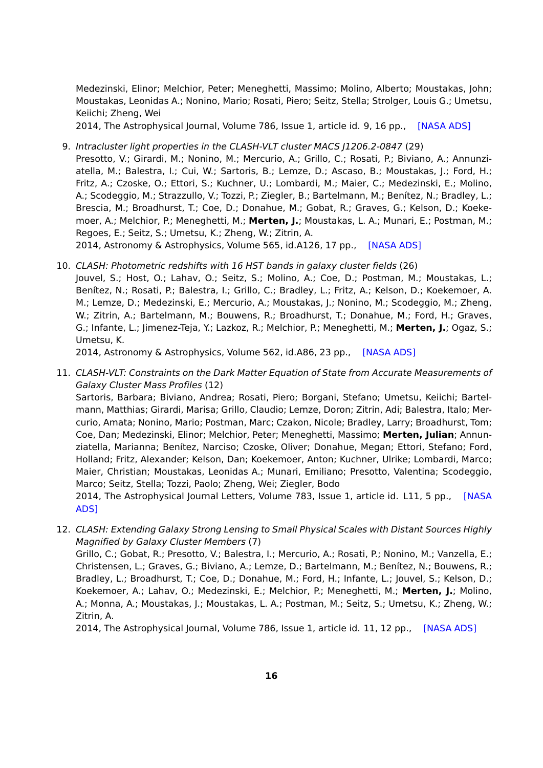Medezinski, Elinor; Melchior, Peter; Meneghetti, Massimo; Molino, Alberto; Moustakas, John; Moustakas, Leonidas A.; Nonino, Mario; Rosati, Piero; Seitz, Stella; Strolger, Louis G.; Umetsu, Keiichi; Zheng, Wei

2014, The Astrophysical Journal, Volume 786, Issue 1, article id. 9, 16 pp., [\[NASA ADS\]](http://adsabs.harvard.edu/abs/2014ApJ...786....9P)

9. Intracluster light properties in the CLASH-VLT cluster MACS J1206.2-0847 (29)

Presotto, V.; Girardi, M.; Nonino, M.; Mercurio, A.; Grillo, C.; Rosati, P.; Biviano, A.; Annunziatella, M.; Balestra, I.; Cui, W.; Sartoris, B.; Lemze, D.; Ascaso, B.; Moustakas, J.; Ford, H.; Fritz, A.; Czoske, O.; Ettori, S.; Kuchner, U.; Lombardi, M.; Maier, C.; Medezinski, E.; Molino, A.; Scodeggio, M.; Strazzullo, V.; Tozzi, P.; Ziegler, B.; Bartelmann, M.; Benítez, N.; Bradley, L.; Brescia, M.; Broadhurst, T.; Coe, D.; Donahue, M.; Gobat, R.; Graves, G.; Kelson, D.; Koekemoer, A.; Melchior, P.; Meneghetti, M.; **Merten, J.**; Moustakas, L. A.; Munari, E.; Postman, M.; Regoes, E.; Seitz, S.; Umetsu, K.; Zheng, W.; Zitrin, A.

2014, Astronomy & Astrophysics, Volume 565, id.A126, 17 pp., [\[NASA ADS\]](http://adsabs.harvard.edu/abs/2014A%26A...565A.126P)

10. CLASH: Photometric redshifts with 16 HST bands in galaxy cluster fields (26)

Jouvel, S.; Host, O.; Lahav, O.; Seitz, S.; Molino, A.; Coe, D.; Postman, M.; Moustakas, L.; Benítez, N.; Rosati, P.; Balestra, I.; Grillo, C.; Bradley, L.; Fritz, A.; Kelson, D.; Koekemoer, A. M.; Lemze, D.; Medezinski, E.; Mercurio, A.; Moustakas, J.; Nonino, M.; Scodeggio, M.; Zheng, W.; Zitrin, A.; Bartelmann, M.; Bouwens, R.; Broadhurst, T.; Donahue, M.; Ford, H.; Graves, G.; Infante, L.; Jimenez-Teja, Y.; Lazkoz, R.; Melchior, P.; Meneghetti, M.; **Merten, J.**; Ogaz, S.; Umetsu, K.

2014, Astronomy & Astrophysics, Volume 562, id.A86, 23 pp., [\[NASA ADS\]](http://adsabs.harvard.edu/abs/2014A%26A...562A..86J)

11. CLASH-VLT: Constraints on the Dark Matter Equation of State from Accurate Measurements of Galaxy Cluster Mass Profiles (12)

Sartoris, Barbara; Biviano, Andrea; Rosati, Piero; Borgani, Stefano; Umetsu, Keiichi; Bartelmann, Matthias; Girardi, Marisa; Grillo, Claudio; Lemze, Doron; Zitrin, Adi; Balestra, Italo; Mercurio, Amata; Nonino, Mario; Postman, Marc; Czakon, Nicole; Bradley, Larry; Broadhurst, Tom; Coe, Dan; Medezinski, Elinor; Melchior, Peter; Meneghetti, Massimo; **Merten, Julian**; Annunziatella, Marianna; Benítez, Narciso; Czoske, Oliver; Donahue, Megan; Ettori, Stefano; Ford, Holland; Fritz, Alexander; Kelson, Dan; Koekemoer, Anton; Kuchner, Ulrike; Lombardi, Marco; Maier, Christian; Moustakas, Leonidas A.; Munari, Emiliano; Presotto, Valentina; Scodeggio, Marco; Seitz, Stella; Tozzi, Paolo; Zheng, Wei; Ziegler, Bodo

2014, The Astrophysical Journal Letters, Volume 783, Issue 1, article id. L11, 5 pp., [\[NASA](http://adsabs.harvard.edu/abs/2014ApJ...783L..11S) [ADS\]](http://adsabs.harvard.edu/abs/2014ApJ...783L..11S)

12. CLASH: Extending Galaxy Strong Lensing to Small Physical Scales with Distant Sources Highly Magnified by Galaxy Cluster Members (7)

Grillo, C.; Gobat, R.; Presotto, V.; Balestra, I.; Mercurio, A.; Rosati, P.; Nonino, M.; Vanzella, E.; Christensen, L.; Graves, G.; Biviano, A.; Lemze, D.; Bartelmann, M.; Benítez, N.; Bouwens, R.; Bradley, L.; Broadhurst, T.; Coe, D.; Donahue, M.; Ford, H.; Infante, L.; Jouvel, S.; Kelson, D.; Koekemoer, A.; Lahav, O.; Medezinski, E.; Melchior, P.; Meneghetti, M.; **Merten, J.**; Molino, A.; Monna, A.; Moustakas, J.; Moustakas, L. A.; Postman, M.; Seitz, S.; Umetsu, K.; Zheng, W.; Zitrin, A.

2014, The Astrophysical Journal, Volume 786, Issue 1, article id. 11, 12 pp., [\[NASA ADS\]](http://adsabs.harvard.edu/abs/2014ApJ...786...11G)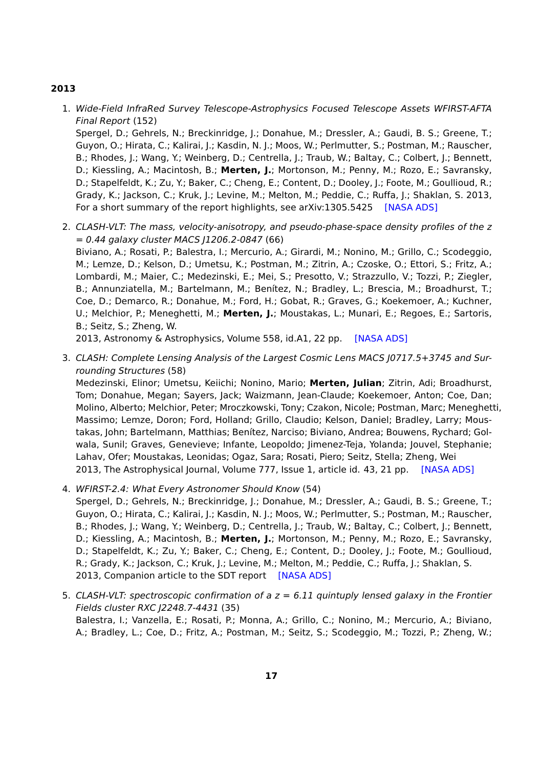### **2013**

1. Wide-Field InfraRed Survey Telescope-Astrophysics Focused Telescope Assets WFIRST-AFTA Final Report (152)

Spergel, D.; Gehrels, N.; Breckinridge, J.; Donahue, M.; Dressler, A.; Gaudi, B. S.; Greene, T.; Guyon, O.; Hirata, C.; Kalirai, J.; Kasdin, N. J.; Moos, W.; Perlmutter, S.; Postman, M.; Rauscher, B.; Rhodes, J.; Wang, Y.; Weinberg, D.; Centrella, J.; Traub, W.; Baltay, C.; Colbert, J.; Bennett, D.; Kiessling, A.; Macintosh, B.; **Merten, J.**; Mortonson, M.; Penny, M.; Rozo, E.; Savransky, D.; Stapelfeldt, K.; Zu, Y.; Baker, C.; Cheng, E.; Content, D.; Dooley, J.; Foote, M.; Goullioud, R.; Grady, K.; Jackson, C.; Kruk, J.; Levine, M.; Melton, M.; Peddie, C.; Ruffa, J.; Shaklan, S. 2013, For a short summary of the report highlights, see arXiv:1305.5425 [\[NASA ADS\]](http://adsabs.harvard.edu/abs/2013arXiv1305.5422S)

2. CLASH-VLT: The mass, velocity-anisotropy, and pseudo-phase-space density profiles of the z  $= 0.44$  galaxy cluster MACS J1206.2-0847 (66) Biviano, A.; Rosati, P.; Balestra, I.; Mercurio, A.; Girardi, M.; Nonino, M.; Grillo, C.; Scodeggio, M.; Lemze, D.; Kelson, D.; Umetsu, K.; Postman, M.; Zitrin, A.; Czoske, O.; Ettori, S.; Fritz, A.; Lombardi, M.; Maier, C.; Medezinski, E.; Mei, S.; Presotto, V.; Strazzullo, V.; Tozzi, P.; Ziegler, B.; Annunziatella, M.; Bartelmann, M.; Benítez, N.; Bradley, L.; Brescia, M.; Broadhurst, T.; Coe, D.; Demarco, R.; Donahue, M.; Ford, H.; Gobat, R.; Graves, G.; Koekemoer, A.; Kuchner, U.; Melchior, P.; Meneghetti, M.; **Merten, J.**; Moustakas, L.; Munari, E.; Regoes, E.; Sartoris, B.; Seitz, S.; Zheng, W.

2013, Astronomy & Astrophysics, Volume 558, id.A1, 22 pp. [\[NASA ADS\]](http://adsabs.harvard.edu/abs/2013A%26A...558A...1B)

3. CLASH: Complete Lensing Analysis of the Largest Cosmic Lens MACS J0717.5+3745 and Surrounding Structures (58)

Medezinski, Elinor; Umetsu, Keiichi; Nonino, Mario; **Merten, Julian**; Zitrin, Adi; Broadhurst, Tom; Donahue, Megan; Sayers, Jack; Waizmann, Jean-Claude; Koekemoer, Anton; Coe, Dan; Molino, Alberto; Melchior, Peter; Mroczkowski, Tony; Czakon, Nicole; Postman, Marc; Meneghetti, Massimo; Lemze, Doron; Ford, Holland; Grillo, Claudio; Kelson, Daniel; Bradley, Larry; Moustakas, John; Bartelmann, Matthias; Benítez, Narciso; Biviano, Andrea; Bouwens, Rychard; Golwala, Sunil; Graves, Genevieve; Infante, Leopoldo; Jimenez-Teja, Yolanda; Jouvel, Stephanie; Lahav, Ofer; Moustakas, Leonidas; Ogaz, Sara; Rosati, Piero; Seitz, Stella; Zheng, Wei 2013, The Astrophysical Journal, Volume 777, Issue 1, article id. 43, 21 pp. [\[NASA ADS\]](http://adsabs.harvard.edu/abs/2013ApJ...777...43M)

- 4. WFIRST-2.4: What Every Astronomer Should Know (54) Spergel, D.; Gehrels, N.; Breckinridge, J.; Donahue, M.; Dressler, A.; Gaudi, B. S.; Greene, T.; Guyon, O.; Hirata, C.; Kalirai, J.; Kasdin, N. J.; Moos, W.; Perlmutter, S.; Postman, M.; Rauscher, B.; Rhodes, J.; Wang, Y.; Weinberg, D.; Centrella, J.; Traub, W.; Baltay, C.; Colbert, J.; Bennett, D.; Kiessling, A.; Macintosh, B.; **Merten, J.**; Mortonson, M.; Penny, M.; Rozo, E.; Savransky, D.; Stapelfeldt, K.; Zu, Y.; Baker, C.; Cheng, E.; Content, D.; Dooley, J.; Foote, M.; Goullioud, R.; Grady, K.; Jackson, C.; Kruk, J.; Levine, M.; Melton, M.; Peddie, C.; Ruffa, J.; Shaklan, S. 2013, Companion article to the SDT report [\[NASA ADS\]](http://adsabs.harvard.edu/abs/2013arXiv1305.5425S)
- 5. CLASH-VLT: spectroscopic confirmation of a  $z = 6.11$  quintuply lensed galaxy in the Frontier Fields cluster RXC J2248.7-4431 (35) Balestra, I.; Vanzella, E.; Rosati, P.; Monna, A.; Grillo, C.; Nonino, M.; Mercurio, A.; Biviano, A.; Bradley, L.; Coe, D.; Fritz, A.; Postman, M.; Seitz, S.; Scodeggio, M.; Tozzi, P.; Zheng, W.;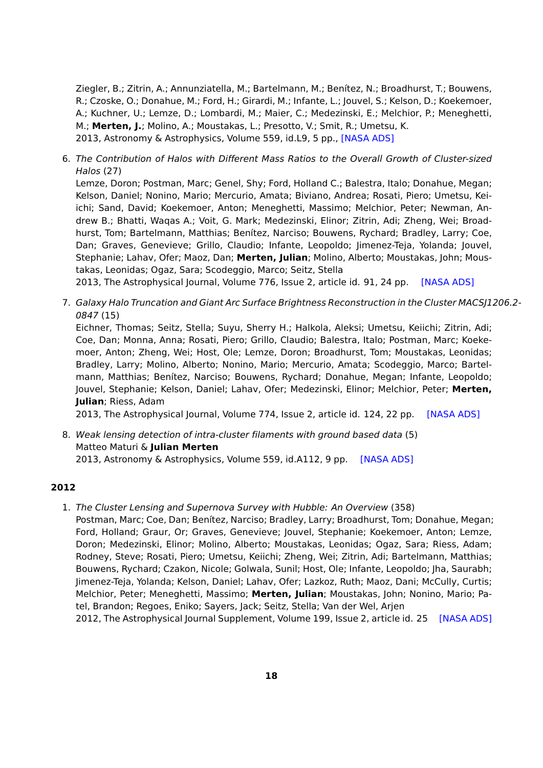Ziegler, B.; Zitrin, A.; Annunziatella, M.; Bartelmann, M.; Benítez, N.; Broadhurst, T.; Bouwens, R.; Czoske, O.; Donahue, M.; Ford, H.; Girardi, M.; Infante, L.; Jouvel, S.; Kelson, D.; Koekemoer, A.; Kuchner, U.; Lemze, D.; Lombardi, M.; Maier, C.; Medezinski, E.; Melchior, P.; Meneghetti, M.; **Merten, J.**; Molino, A.; Moustakas, L.; Presotto, V.; Smit, R.; Umetsu, K. 2013, Astronomy & Astrophysics, Volume 559, id.L9, 5 pp., [\[NASA ADS\]](http://adsabs.harvard.edu/abs/2013A%26A...559L...9B)

6. The Contribution of Halos with Different Mass Ratios to the Overall Growth of Cluster-sized Halos (27)

Lemze, Doron; Postman, Marc; Genel, Shy; Ford, Holland C.; Balestra, Italo; Donahue, Megan; Kelson, Daniel; Nonino, Mario; Mercurio, Amata; Biviano, Andrea; Rosati, Piero; Umetsu, Keiichi; Sand, David; Koekemoer, Anton; Meneghetti, Massimo; Melchior, Peter; Newman, Andrew B.; Bhatti, Waqas A.; Voit, G. Mark; Medezinski, Elinor; Zitrin, Adi; Zheng, Wei; Broadhurst, Tom; Bartelmann, Matthias; Benítez, Narciso; Bouwens, Rychard; Bradley, Larry; Coe, Dan; Graves, Genevieve; Grillo, Claudio; Infante, Leopoldo; Jimenez-Teja, Yolanda; Jouvel, Stephanie; Lahav, Ofer; Maoz, Dan; **Merten, Julian**; Molino, Alberto; Moustakas, John; Moustakas, Leonidas; Ogaz, Sara; Scodeggio, Marco; Seitz, Stella

2013, The Astrophysical Journal, Volume 776, Issue 2, article id. 91, 24 pp. [\[NASA ADS\]](http://adsabs.harvard.edu/abs/2013ApJ...776...91L)

7. Galaxy Halo Truncation and Giant Arc Surface Brightness Reconstruction in the Cluster MACSJ1206.2- 0847 (15)

Eichner, Thomas; Seitz, Stella; Suyu, Sherry H.; Halkola, Aleksi; Umetsu, Keiichi; Zitrin, Adi; Coe, Dan; Monna, Anna; Rosati, Piero; Grillo, Claudio; Balestra, Italo; Postman, Marc; Koekemoer, Anton; Zheng, Wei; Host, Ole; Lemze, Doron; Broadhurst, Tom; Moustakas, Leonidas; Bradley, Larry; Molino, Alberto; Nonino, Mario; Mercurio, Amata; Scodeggio, Marco; Bartelmann, Matthias; Benítez, Narciso; Bouwens, Rychard; Donahue, Megan; Infante, Leopoldo; Jouvel, Stephanie; Kelson, Daniel; Lahav, Ofer; Medezinski, Elinor; Melchior, Peter; **Merten, Julian**; Riess, Adam

2013, The Astrophysical Journal, Volume 774, Issue 2, article id. 124, 22 pp. [\[NASA ADS\]](http://adsabs.harvard.edu/abs/2013ApJ...774..124E)

8. Weak lensing detection of intra-cluster filaments with ground based data (5) Matteo Maturi & **Julian Merten** 2013, Astronomy & Astrophysics, Volume 559, id.A112, 9 pp. [\[NASA ADS\]](http://adsabs.harvard.edu/abs/2013A%26A...559A.112M)

### **2012**

1. The Cluster Lensing and Supernova Survey with Hubble: An Overview (358)

Postman, Marc; Coe, Dan; Benítez, Narciso; Bradley, Larry; Broadhurst, Tom; Donahue, Megan; Ford, Holland; Graur, Or; Graves, Genevieve; Jouvel, Stephanie; Koekemoer, Anton; Lemze, Doron; Medezinski, Elinor; Molino, Alberto; Moustakas, Leonidas; Ogaz, Sara; Riess, Adam; Rodney, Steve; Rosati, Piero; Umetsu, Keiichi; Zheng, Wei; Zitrin, Adi; Bartelmann, Matthias; Bouwens, Rychard; Czakon, Nicole; Golwala, Sunil; Host, Ole; Infante, Leopoldo; Jha, Saurabh; Jimenez-Teja, Yolanda; Kelson, Daniel; Lahav, Ofer; Lazkoz, Ruth; Maoz, Dani; McCully, Curtis; Melchior, Peter; Meneghetti, Massimo; **Merten, Julian**; Moustakas, John; Nonino, Mario; Patel, Brandon; Regoes, Eniko; Sayers, Jack; Seitz, Stella; Van der Wel, Arjen

2012, The Astrophysical Journal Supplement, Volume 199, Issue 2, article id. 25 [\[NASA ADS\]](http://adsabs.harvard.edu/abs/2012ApJS..199...25P)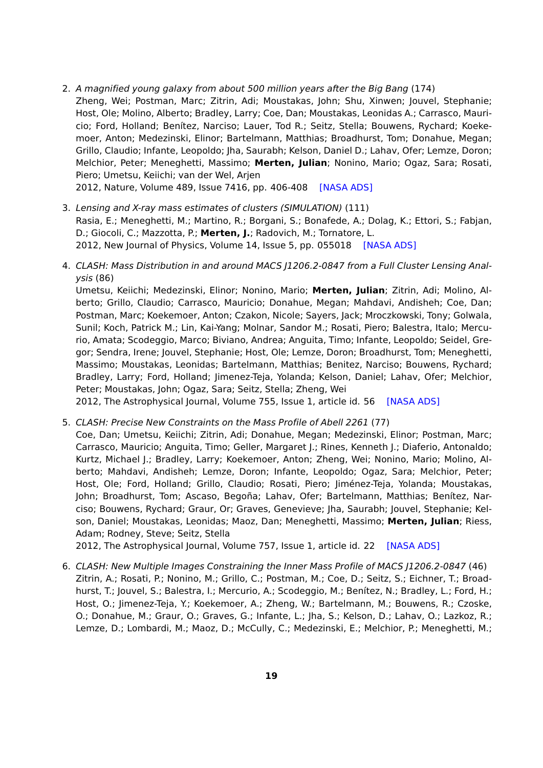- 2. A magnified young galaxy from about 500 million years after the Big Bang (174)
- Zheng, Wei; Postman, Marc; Zitrin, Adi; Moustakas, John; Shu, Xinwen; Jouvel, Stephanie; Host, Ole; Molino, Alberto; Bradley, Larry; Coe, Dan; Moustakas, Leonidas A.; Carrasco, Mauricio; Ford, Holland; Benítez, Narciso; Lauer, Tod R.; Seitz, Stella; Bouwens, Rychard; Koekemoer, Anton; Medezinski, Elinor; Bartelmann, Matthias; Broadhurst, Tom; Donahue, Megan; Grillo, Claudio; Infante, Leopoldo; Jha, Saurabh; Kelson, Daniel D.; Lahav, Ofer; Lemze, Doron; Melchior, Peter; Meneghetti, Massimo; **Merten, Julian**; Nonino, Mario; Ogaz, Sara; Rosati, Piero; Umetsu, Keiichi; van der Wel, Arjen

2012, Nature, Volume 489, Issue 7416, pp. 406-408 [\[NASA ADS\]](http://adsabs.harvard.edu/abs/2012Natur.489..406Z)

- 3. Lensing and X-ray mass estimates of clusters (SIMULATION) (111) Rasia, E.; Meneghetti, M.; Martino, R.; Borgani, S.; Bonafede, A.; Dolag, K.; Ettori, S.; Fabjan, D.; Giocoli, C.; Mazzotta, P.; **Merten, J.**; Radovich, M.; Tornatore, L. 2012, New Journal of Physics, Volume 14, Issue 5, pp. 055018 [\[NASA ADS\]](http://adsabs.harvard.edu/abs/2012NJPh...14e5018R)
- 4. CLASH: Mass Distribution in and around MACS J1206.2-0847 from a Full Cluster Lensing Analysis (86)

Umetsu, Keiichi; Medezinski, Elinor; Nonino, Mario; **Merten, Julian**; Zitrin, Adi; Molino, Alberto; Grillo, Claudio; Carrasco, Mauricio; Donahue, Megan; Mahdavi, Andisheh; Coe, Dan; Postman, Marc; Koekemoer, Anton; Czakon, Nicole; Sayers, Jack; Mroczkowski, Tony; Golwala, Sunil; Koch, Patrick M.; Lin, Kai-Yang; Molnar, Sandor M.; Rosati, Piero; Balestra, Italo; Mercurio, Amata; Scodeggio, Marco; Biviano, Andrea; Anguita, Timo; Infante, Leopoldo; Seidel, Gregor; Sendra, Irene; Jouvel, Stephanie; Host, Ole; Lemze, Doron; Broadhurst, Tom; Meneghetti, Massimo; Moustakas, Leonidas; Bartelmann, Matthias; Benitez, Narciso; Bouwens, Rychard; Bradley, Larry; Ford, Holland; Jimenez-Teja, Yolanda; Kelson, Daniel; Lahav, Ofer; Melchior, Peter; Moustakas, John; Ogaz, Sara; Seitz, Stella; Zheng, Wei

2012, The Astrophysical Journal, Volume 755, Issue 1, article id. 56 [\[NASA ADS\]](http://adsabs.harvard.edu/abs/2012ApJ...755...56U)

5. CLASH: Precise New Constraints on the Mass Profile of Abell 2261 (77)

Coe, Dan; Umetsu, Keiichi; Zitrin, Adi; Donahue, Megan; Medezinski, Elinor; Postman, Marc; Carrasco, Mauricio; Anguita, Timo; Geller, Margaret J.; Rines, Kenneth J.; Diaferio, Antonaldo; Kurtz, Michael J.; Bradley, Larry; Koekemoer, Anton; Zheng, Wei; Nonino, Mario; Molino, Alberto; Mahdavi, Andisheh; Lemze, Doron; Infante, Leopoldo; Ogaz, Sara; Melchior, Peter; Host, Ole; Ford, Holland; Grillo, Claudio; Rosati, Piero; Jiménez-Teja, Yolanda; Moustakas, John; Broadhurst, Tom; Ascaso, Begoña; Lahav, Ofer; Bartelmann, Matthias; Benítez, Narciso; Bouwens, Rychard; Graur, Or; Graves, Genevieve; Jha, Saurabh; Jouvel, Stephanie; Kelson, Daniel; Moustakas, Leonidas; Maoz, Dan; Meneghetti, Massimo; **Merten, Julian**; Riess, Adam; Rodney, Steve; Seitz, Stella

2012, The Astrophysical Journal, Volume 757, Issue 1, article id. 22 [\[NASA ADS\]](http://adsabs.harvard.edu/abs/2012ApJ...757...22C)

6. CLASH: New Multiple Images Constraining the Inner Mass Profile of MACS J1206.2-0847 (46) Zitrin, A.; Rosati, P.; Nonino, M.; Grillo, C.; Postman, M.; Coe, D.; Seitz, S.; Eichner, T.; Broadhurst, T.; Jouvel, S.; Balestra, I.; Mercurio, A.; Scodeggio, M.; Benítez, N.; Bradley, L.; Ford, H.; Host, O.; Jimenez-Teja, Y.; Koekemoer, A.; Zheng, W.; Bartelmann, M.; Bouwens, R.; Czoske, O.; Donahue, M.; Graur, O.; Graves, G.; Infante, L.; Jha, S.; Kelson, D.; Lahav, O.; Lazkoz, R.; Lemze, D.; Lombardi, M.; Maoz, D.; McCully, C.; Medezinski, E.; Melchior, P.; Meneghetti, M.;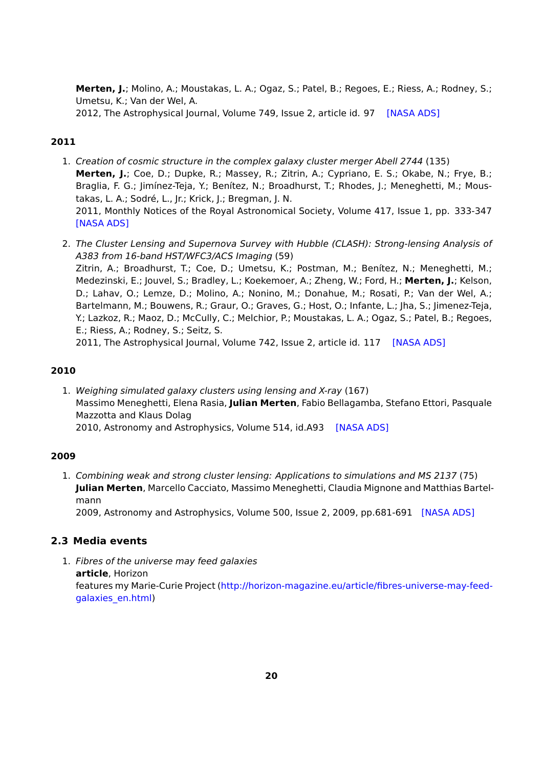**Merten, J.**; Molino, A.; Moustakas, L. A.; Ogaz, S.; Patel, B.; Regoes, E.; Riess, A.; Rodney, S.; Umetsu, K.; Van der Wel, A. 2012, The Astrophysical Journal, Volume 749, Issue 2, article id. 97 [\[NASA ADS\]](http://adsabs.harvard.edu/abs/2012ApJ...749...97Z)

## **2011**

- 1. Creation of cosmic structure in the complex galaxy cluster merger Abell 2744 (135) **Merten, J.**; Coe, D.; Dupke, R.; Massey, R.; Zitrin, A.; Cypriano, E. S.; Okabe, N.; Frye, B.; Braglia, F. G.; Jimínez-Teja, Y.; Benítez, N.; Broadhurst, T.; Rhodes, J.; Meneghetti, M.; Moustakas, L. A.; Sodré, L., Jr.; Krick, J.; Bregman, J. N. 2011, Monthly Notices of the Royal Astronomical Society, Volume 417, Issue 1, pp. 333-347 [\[NASA ADS\]](http://adsabs.harvard.edu/abs/2011MNRAS.417..333M)
- 2. The Cluster Lensing and Supernova Survey with Hubble (CLASH): Strong-lensing Analysis of A383 from 16-band HST/WFC3/ACS Imaging (59) Zitrin, A.; Broadhurst, T.; Coe, D.; Umetsu, K.; Postman, M.; Benítez, N.; Meneghetti, M.; Medezinski, E.; Jouvel, S.; Bradley, L.; Koekemoer, A.; Zheng, W.; Ford, H.; **Merten, J.**; Kelson, D.; Lahav, O.; Lemze, D.; Molino, A.; Nonino, M.; Donahue, M.; Rosati, P.; Van der Wel, A.; Bartelmann, M.; Bouwens, R.; Graur, O.; Graves, G.; Host, O.; Infante, L.; Jha, S.; Jimenez-Teja, Y.; Lazkoz, R.; Maoz, D.; McCully, C.; Melchior, P.; Moustakas, L. A.; Ogaz, S.; Patel, B.; Regoes, E.; Riess, A.; Rodney, S.; Seitz, S. 2011, The Astrophysical Journal, Volume 742, Issue 2, article id. 117 [\[NASA ADS\]](http://adsabs.harvard.edu/abs/2011ApJ...742..117Z)

#### **2010**

1. Weighing simulated galaxy clusters using lensing and X-ray (167) Massimo Meneghetti, Elena Rasia, **Julian Merten**, Fabio Bellagamba, Stefano Ettori, Pasquale Mazzotta and Klaus Dolag 2010, Astronomy and Astrophysics, Volume 514, id.A93 [\[NASA ADS\]](http://adsabs.harvard.edu/abs/2010A%26A...514A..93M)

### **2009**

1. Combining weak and strong cluster lensing: Applications to simulations and MS 2137 (75) **Julian Merten**, Marcello Cacciato, Massimo Meneghetti, Claudia Mignone and Matthias Bartelmann

2009, Astronomy and Astrophysics, Volume 500, Issue 2, 2009, pp.681-691 [\[NASA ADS\]](http://adsabs.harvard.edu/abs/2009A%26A...500..681M)

### <span id="page-19-0"></span>**2.3 Media events**

1. Fibres of the universe may feed galaxies **article**, Horizon features my Marie-Curie Project [\(http://horizon-magazine.eu/article/fibres-universe-may-feed](http://horizon-magazine.eu/article/fibres-universe-may-feed-galaxies_en.html)[galaxies\\_en.html\)](http://horizon-magazine.eu/article/fibres-universe-may-feed-galaxies_en.html)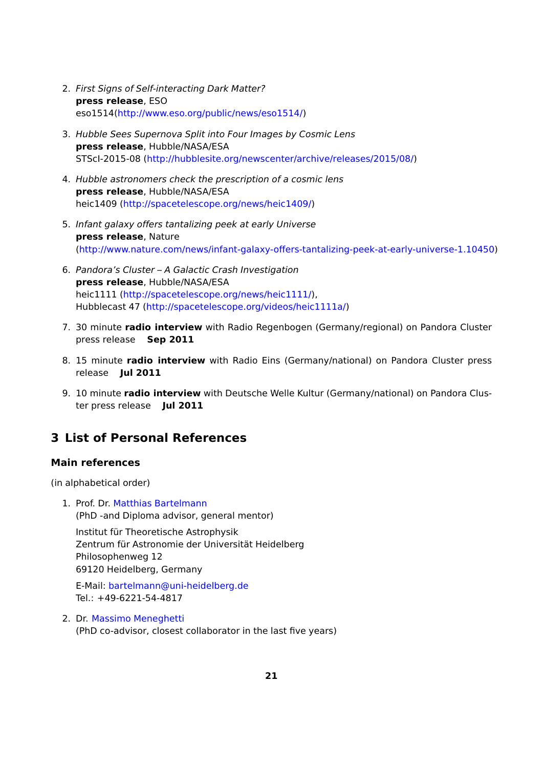- 2. First Signs of Self-interacting Dark Matter? **press release**, ESO eso1514[\(http://www.eso.org/public/news/eso1514/\)](http://www.eso.org/public/news/eso1514/)
- 3. Hubble Sees Supernova Split into Four Images by Cosmic Lens **press release**, Hubble/NASA/ESA STScI-2015-08 [\(http://hubblesite.org/newscenter/archive/releases/2015/08/\)](http://hubblesite.org/newscenter/archive/releases/2015/08/)
- 4. Hubble astronomers check the prescription of a cosmic lens **press release**, Hubble/NASA/ESA heic1409 [\(http://spacetelescope.org/news/heic1409/\)](http://www.spacetelescope.org/news/heic1409/)
- 5. Infant galaxy offers tantalizing peek at early Universe **press release**, Nature [\(http://www.nature.com/news/infant-galaxy-offers-tantalizing-peek-at-early-universe-1.10450\)](http://www.nature.com/news/infant-galaxy-offers-tantalizing-peek-at-early-universe-1.10450)
- 6. Pandora's Cluster A Galactic Crash Investigation **press release**, Hubble/NASA/ESA heic1111 [\(http://spacetelescope.org/news/heic1111/\)](http://spacetelescope.org/news/heic1111/), Hubblecast 47 [\(http://spacetelescope.org/videos/heic1111a/\)](http://spacetelescope.org/videos/heic1111a/)
- 7. 30 minute **radio interview** with Radio Regenbogen (Germany/regional) on Pandora Cluster press release **Sep 2011**
- 8. 15 minute **radio interview** with Radio Eins (Germany/national) on Pandora Cluster press release **Jul 2011**
- 9. 10 minute **radio interview** with Deutsche Welle Kultur (Germany/national) on Pandora Cluster press release **Jul 2011**

## <span id="page-20-0"></span>**3 List of Personal References**

### **Main references**

(in alphabetical order)

1. Prof. Dr. [Matthias Bartelmann](mailto:bartelmann@uni-heidelberg.de) (PhD -and Diploma advisor, general mentor)

Institut für Theoretische Astrophysik Zentrum für Astronomie der Universität Heidelberg Philosophenweg 12 69120 Heidelberg, Germany

E-Mail: [bartelmann@uni-heidelberg.de](mailto:bartelmann@uni-heidelberg.de) Tel.: +49-6221-54-4817

2. Dr. [Massimo Meneghetti](mailto:massimo.meneghetti@oabo.inaf.it) (PhD co-advisor, closest collaborator in the last five years)